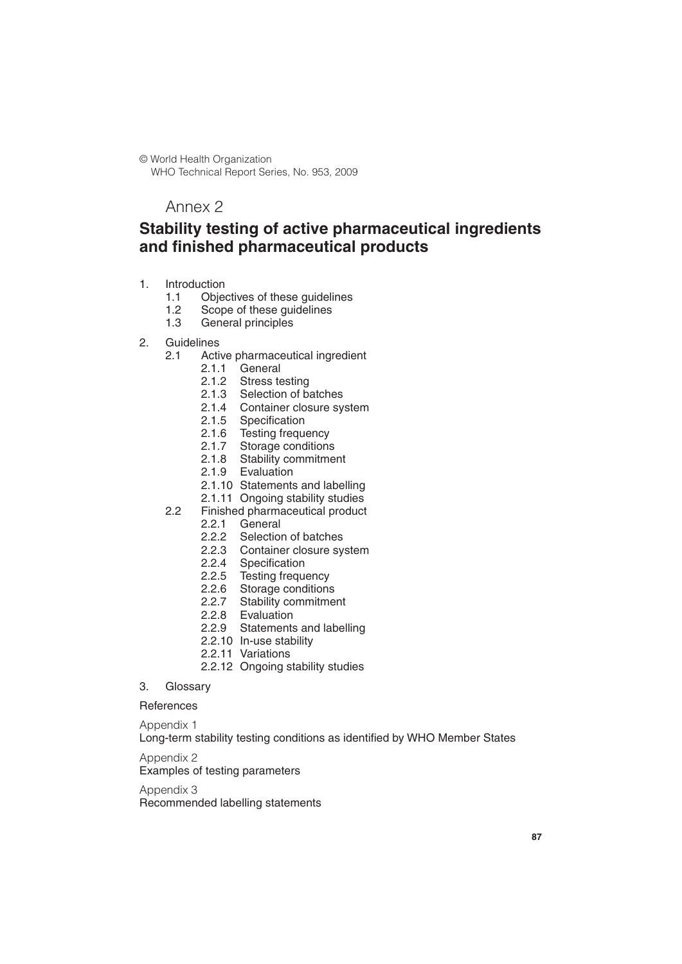© World Health Organization WHO Technical Report Series, No. 953, 2009

# Annex 2

# **Stability testing of active pharmaceutical ingredients and fi nished pharmaceutical products**

- 1. Introduction
	- 1.1 Objectives of these guidelines
	- 1.2 Scope of these guidelines
	- 1.3 General principles
- 2. Guidelines
	- 2.1 Active pharmaceutical ingredient
		- 2.1.1 General
		- 2.1.2 Stress testing
		- 2.1.3 Selection of batches
		- 2.1.4 Container closure system
		- 2.1.5 Specification
		- 2.1.6 Testing frequency
- 2.1.7 Storage conditions
- 2.1.8 Stability commitment
	- 2.1.9 Evaluation
	- 2.1.10 Statements and labelling
	- 2.1.11 Ongoing stability studies
	- 2.2 Finished pharmaceutical product
		- 2.2.1 General
		- 2.2.2 Selection of batches
		- 2.2.3 Container closure system
- 2.2.4 Specification
- 2.2.5 Testing frequency
- 2.2.6 Storage conditions
- 2.2.7 Stability commitment
	- 2.2.8 Evaluation
	- 2.2.9 Statements and labelling
	- 2.2.10 In-use stability
	- 2.2.11 Variations
	- 2.2.12 Ongoing stability studies
- 3. Glossary

## **References**

Appendix 1 Long-term stability testing conditions as identified by WHO Member States.

## Appendix 2 Examples of testing parameters…

Appendix 3 Recommended labelling statements…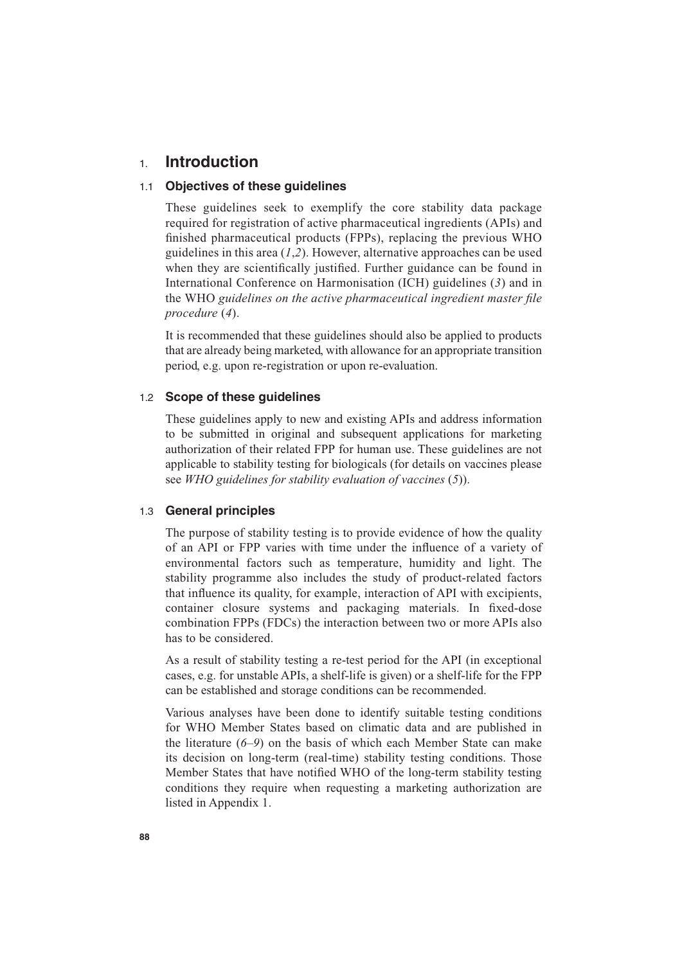## 1. **Introduction**

## 1.1 **Objectives of these guidelines**

These guidelines seek to exemplify the core stability data package required for registration of active pharmaceutical ingredients (APIs) and finished pharmaceutical products (FPPs), replacing the previous WHO guidelines in this area (*1*,*2*). However, alternative approaches can be used when they are scientifically justified. Further guidance can be found in International Conference on Harmonisation (ICH) guidelines (*3*) and in the WHO *guidelines on the active pharmaceutical ingredient master fi le procedure* (*4*).

It is recommended that these guidelines should also be applied to products that are already being marketed, with allowance for an appropriate transition period, e.g. upon re-registration or upon re-evaluation.

## 1.2 **Scope of these guidelines**

These guidelines apply to new and existing APIs and address information to be submitted in original and subsequent applications for marketing authorization of their related FPP for human use. These guidelines are not applicable to stability testing for biologicals (for details on vaccines please see *WHO guidelines for stability evaluation of vaccines* (*5*)).

### 1.3 **General principles**

The purpose of stability testing is to provide evidence of how the quality of an API or FPP varies with time under the influence of a variety of environmental factors such as temperature, humidity and light. The stability programme also includes the study of product-related factors that influence its quality, for example, interaction of API with excipients, container closure systems and packaging materials. In fixed-dose combination FPPs (FDCs) the interaction between two or more APIs also has to be considered.

As a result of stability testing a re-test period for the API (in exceptional cases, e.g. for unstable APIs, a shelf-life is given) or a shelf-life for the FPP can be established and storage conditions can be recommended.

Various analyses have been done to identify suitable testing conditions for WHO Member States based on climatic data and are published in the literature (*6–9*) on the basis of which each Member State can make its decision on long-term (real-time) stability testing conditions. Those Member States that have notified WHO of the long-term stability testing conditions they require when requesting a marketing authorization are listed in Appendix 1.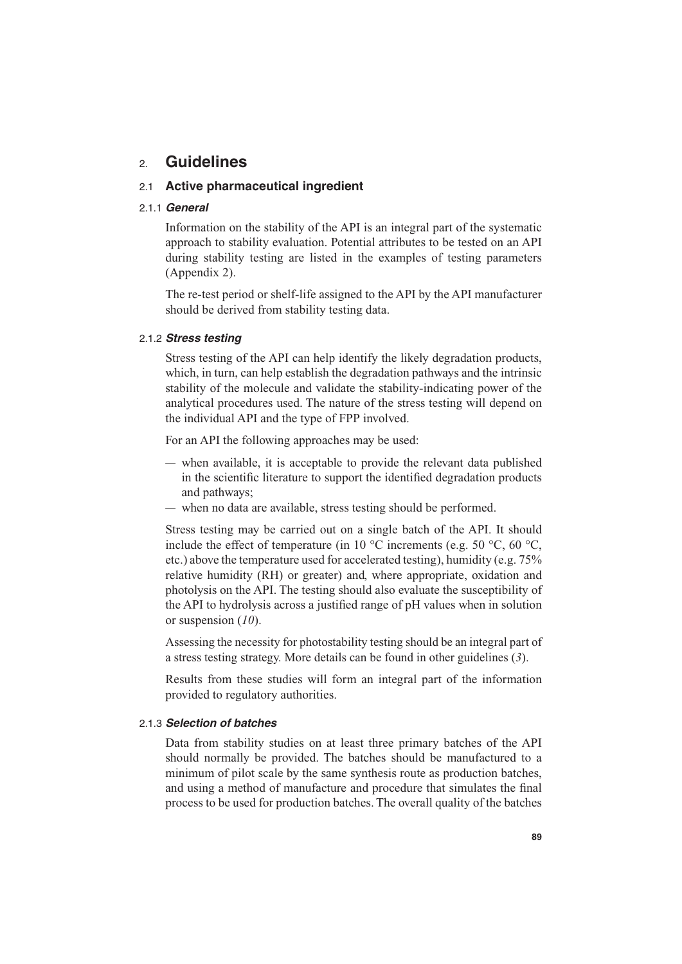## 2. **Guidelines**

## 2.1 **Active pharmaceutical ingredient**

### 2.1.1 *General*

Information on the stability of the API is an integral part of the systematic approach to stability evaluation. Potential attributes to be tested on an API during stability testing are listed in the examples of testing parameters (Appendix 2).

The re-test period or shelf-life assigned to the API by the API manufacturer should be derived from stability testing data.

## 2.1.2 *Stress testing*

Stress testing of the API can help identify the likely degradation products, which, in turn, can help establish the degradation pathways and the intrinsic stability of the molecule and validate the stability-indicating power of the analytical procedures used. The nature of the stress testing will depend on the individual API and the type of FPP involved.

For an API the following approaches may be used:

- when available, it is acceptable to provide the relevant data published in the scientific literature to support the identified degradation products and pathways;
- when no data are available, stress testing should be performed.

Stress testing may be carried out on a single batch of the API. It should include the effect of temperature (in 10  $^{\circ}$ C increments (e.g. 50  $^{\circ}$ C, 60  $^{\circ}$ C, etc.) above the temperature used for accelerated testing), humidity (e.g. 75% relative humidity (RH) or greater) and, where appropriate, oxidation and photolysis on the API. The testing should also evaluate the susceptibility of the API to hydrolysis across a justified range of pH values when in solution or suspension (*10*).

Assessing the necessity for photostability testing should be an integral part of a stress testing strategy. More details can be found in other guidelines (*3*).

Results from these studies will form an integral part of the information provided to regulatory authorities.

## 2.1.3 *Selection of batches*

Data from stability studies on at least three primary batches of the API should normally be provided. The batches should be manufactured to a minimum of pilot scale by the same synthesis route as production batches, and using a method of manufacture and procedure that simulates the final process to be used for production batches. The overall quality of the batches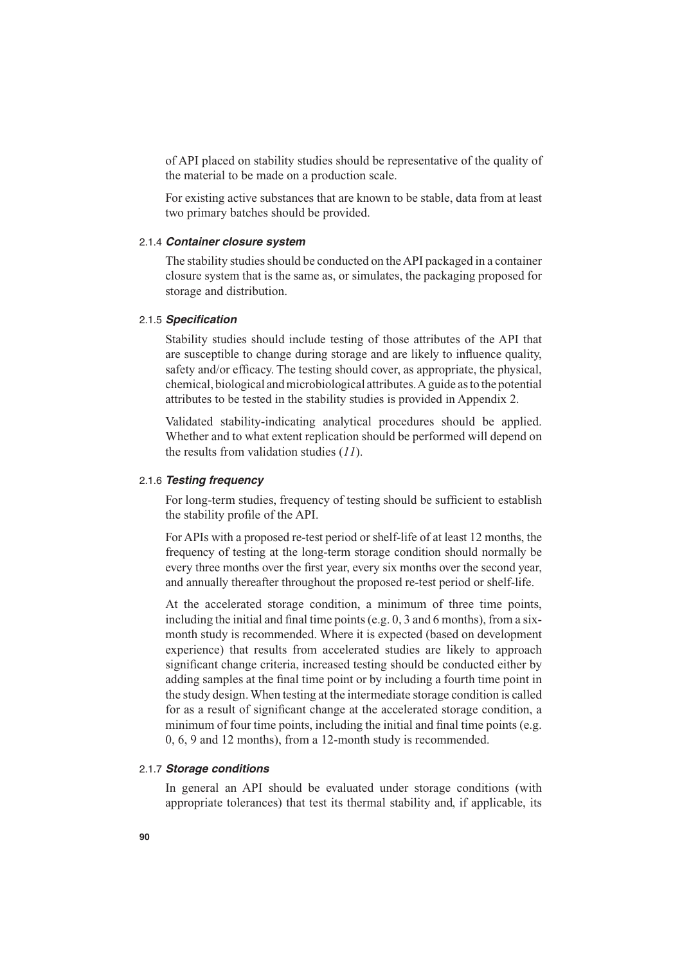of API placed on stability studies should be representative of the quality of the material to be made on a production scale.

For existing active substances that are known to be stable, data from at least two primary batches should be provided.

## 2.1.4 *Container closure system*

The stability studies should be conducted on the API packaged in a container closure system that is the same as, or simulates, the packaging proposed for storage and distribution.

## 2.1.5 Specification

Stability studies should include testing of those attributes of the API that are susceptible to change during storage and are likely to influence quality, safety and/or efficacy. The testing should cover, as appropriate, the physical, chemical, biological and microbiological attributes. A guide as to the potential attributes to be tested in the stability studies is provided in Appendix 2.

Validated stability-indicating analytical procedures should be applied. Whether and to what extent replication should be performed will depend on the results from validation studies (*11*).

#### 2.1.6 *Testing frequency*

For long-term studies, frequency of testing should be sufficient to establish the stability profile of the API.

For APIs with a proposed re-test period or shelf-life of at least 12 months, the frequency of testing at the long-term storage condition should normally be every three months over the first year, every six months over the second year, and annually thereafter throughout the proposed re-test period or shelf-life.

At the accelerated storage condition, a minimum of three time points, including the initial and final time points (e.g.  $0$ ,  $3$  and  $6$  months), from a sixmonth study is recommended. Where it is expected (based on development experience) that results from accelerated studies are likely to approach significant change criteria, increased testing should be conducted either by adding samples at the final time point or by including a fourth time point in the study design. When testing at the intermediate storage condition is called for as a result of significant change at the accelerated storage condition, a minimum of four time points, including the initial and final time points (e.g. 0, 6, 9 and 12 months), from a 12-month study is recommended.

### 2.1.7 *Storage conditions*

In general an API should be evaluated under storage conditions (with appropriate tolerances) that test its thermal stability and, if applicable, its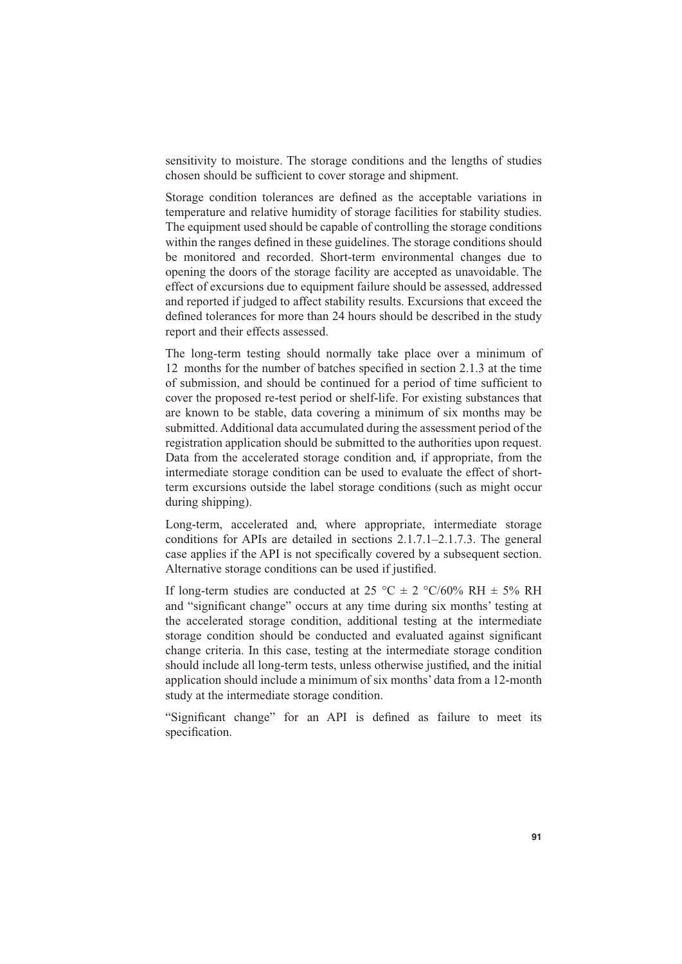sensitivity to moisture. The storage conditions and the lengths of studies chosen should be sufficient to cover storage and shipment.

Storage condition tolerances are defined as the acceptable variations in temperature and relative humidity of storage facilities for stability studies. The equipment used should be capable of controlling the storage conditions within the ranges defined in these guidelines. The storage conditions should be monitored and recorded. Short-term environmental changes due to opening the doors of the storage facility are accepted as unavoidable. The effect of excursions due to equipment failure should be assessed, addressed and reported if judged to affect stability results. Excursions that exceed the defined tolerances for more than 24 hours should be described in the study report and their effects assessed.

The long-term testing should normally take place over a minimum of 12 months for the number of batches specified in section 2.1.3 at the time of submission, and should be continued for a period of time sufficient to cover the proposed re-test period or shelf-life. For existing substances that are known to be stable, data covering a minimum of six months may be submitted. Additional data accumulated during the assessment period of the registration application should be submitted to the authorities upon request. Data from the accelerated storage condition and, if appropriate, from the intermediate storage condition can be used to evaluate the effect of shortterm excursions outside the label storage conditions (such as might occur during shipping).

Long-term, accelerated and, where appropriate, intermediate storage conditions for APIs are detailed in sections 2.1.7.1–2.1.7.3. The general case applies if the API is not specifically covered by a subsequent section. Alternative storage conditions can be used if justified.

If long-term studies are conducted at 25 °C  $\pm$  2 °C/60% RH  $\pm$  5% RH and "significant change" occurs at any time during six months' testing at the accelerated storage condition, additional testing at the intermediate storage condition should be conducted and evaluated against significant change criteria. In this case, testing at the intermediate storage condition should include all long-term tests, unless otherwise justified, and the initial application should include a minimum of six months' data from a 12-month study at the intermediate storage condition.

"Significant change" for an API is defined as failure to meet its specification.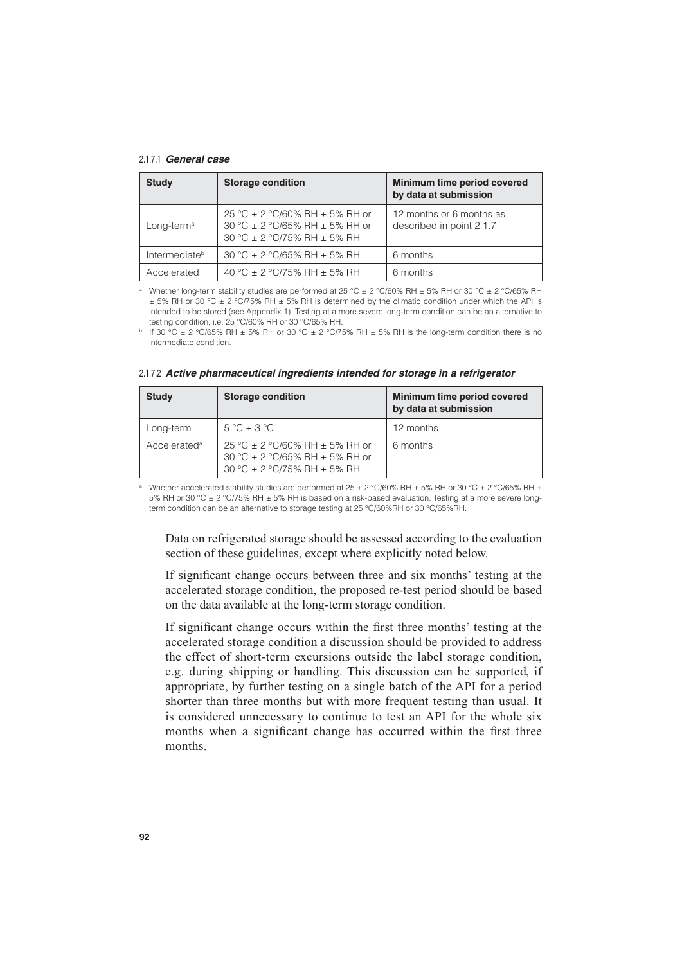#### 2.1.7.1 *General case*

| <b>Study</b>              | <b>Storage condition</b>                                                                                        | Minimum time period covered<br>by data at submission |  |
|---------------------------|-----------------------------------------------------------------------------------------------------------------|------------------------------------------------------|--|
| Long-term <sup>a</sup>    | 25 °C $\pm$ 2 °C/60% RH $\pm$ 5% RH or<br>30 °C $\pm$ 2 °C/65% RH $\pm$ 5% RH or<br>30 °C ± 2 °C/75% RH ± 5% RH | 12 months or 6 months as<br>described in point 2.1.7 |  |
| Intermediate <sup>b</sup> | 30 °C $\pm$ 2 °C/65% RH $\pm$ 5% RH                                                                             | 6 months                                             |  |
| Accelerated               | 40 °C $\pm$ 2 °C/75% RH $\pm$ 5% RH                                                                             | 6 months                                             |  |

a Whether long-term stability studies are performed at 25 °C ± 2 °C/60% RH ± 5% RH or 30 °C ± 2 °C/65% RH  $\pm$  5% RH or 30 °C  $\pm$  2 °C/75% RH  $\pm$  5% RH is determined by the climatic condition under which the API is intended to be stored (see Appendix 1). Testing at a more severe long-term condition can be an alternative to testing condition, i.e. 25 °C/60% RH or 30 °C/65% RH.

 $\overline{P}$  If 30 °C  $\pm$  2 °C/65% RH  $\pm$  5% RH or 30 °C  $\pm$  2 °C/75% RH  $\pm$  5% RH is the long-term condition there is no intermediate condition.

| 2.1.7.2 Active pharmaceutical ingredients intended for storage in a refrigerator |  |  |
|----------------------------------------------------------------------------------|--|--|
|                                                                                  |  |  |

| <b>Study</b>             | <b>Storage condition</b>                                                                                                | Minimum time period covered<br>by data at submission |
|--------------------------|-------------------------------------------------------------------------------------------------------------------------|------------------------------------------------------|
| Long-term                | $5^{\circ}C \pm 3^{\circ}C$                                                                                             | 12 months                                            |
| Accelerated <sup>a</sup> | 25 °C $\pm$ 2 °C/60% RH $\pm$ 5% RH or<br>30 °C $\pm$ 2 °C/65% RH $\pm$ 5% RH or<br>30 °C $\pm$ 2 °C/75% RH $\pm$ 5% RH | 6 months                                             |

a Whether accelerated stability studies are performed at 25  $\pm$  2 °C/60% RH  $\pm$  5% RH or 30 °C  $\pm$  2 °C/65% RH  $\pm$ 5% RH or 30 °C  $\pm$  2 °C/75% RH  $\pm$  5% RH is based on a risk-based evaluation. Testing at a more severe longterm condition can be an alternative to storage testing at 25 °C/60%RH or 30 °C/65%RH.

Data on refrigerated storage should be assessed according to the evaluation section of these guidelines, except where explicitly noted below.

If significant change occurs between three and six months' testing at the accelerated storage condition, the proposed re-test period should be based on the data available at the long-term storage condition.

If significant change occurs within the first three months' testing at the accelerated storage condition a discussion should be provided to address the effect of short-term excursions outside the label storage condition, e.g. during shipping or handling. This discussion can be supported, if appropriate, by further testing on a single batch of the API for a period shorter than three months but with more frequent testing than usual. It is considered unnecessary to continue to test an API for the whole six months when a significant change has occurred within the first three months.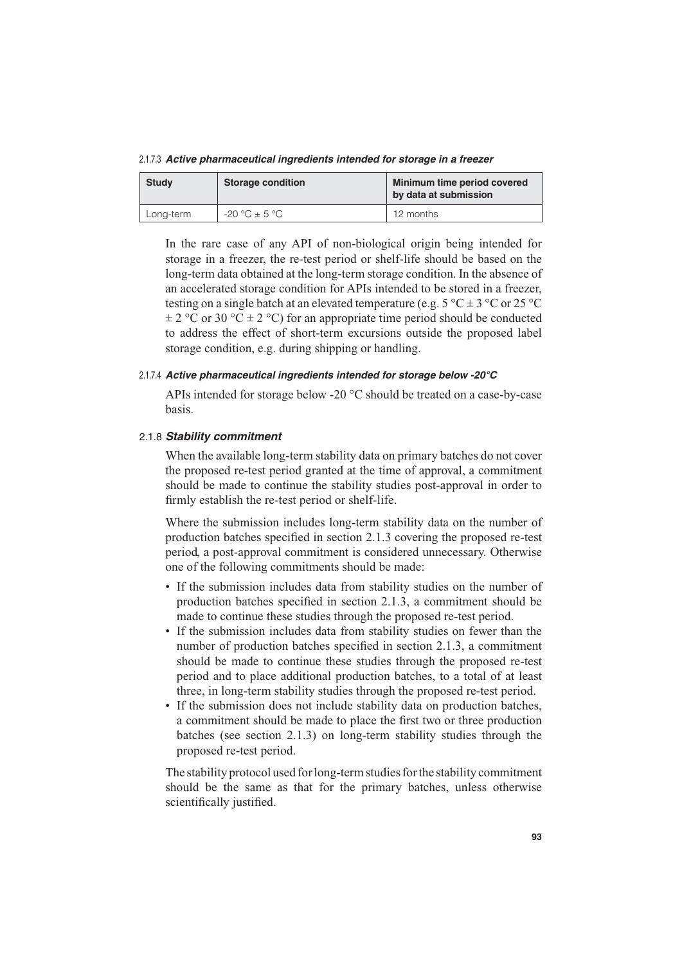2.1.7.3 *Active pharmaceutical ingredients intended for storage in a freezer*

| Study     | <b>Storage condition</b> | Minimum time period covered<br>by data at submission |
|-----------|--------------------------|------------------------------------------------------|
| Long-term | -20 °C $\pm$ 5 °C        | 12 months                                            |

In the rare case of any API of non-biological origin being intended for storage in a freezer, the re-test period or shelf-life should be based on the long-term data obtained at the long-term storage condition. In the absence of an accelerated storage condition for APIs intended to be stored in a freezer, testing on a single batch at an elevated temperature (e.g.  $5^{\circ}C \pm 3^{\circ}C$  or 25 °C  $\pm$  2 °C or 30 °C  $\pm$  2 °C) for an appropriate time period should be conducted to address the effect of short-term excursions outside the proposed label storage condition, e.g. during shipping or handling.

#### 2.1.7.4 *Active pharmaceutical ingredients intended for storage below -20°C*

APIs intended for storage below -20 °C should be treated on a case-by-case basis.

#### 2.1.8 *Stability commitment*

When the available long-term stability data on primary batches do not cover the proposed re-test period granted at the time of approval, a commitment should be made to continue the stability studies post-approval in order to firmly establish the re-test period or shelf-life.

Where the submission includes long-term stability data on the number of production batches specified in section 2.1.3 covering the proposed re-test period, a post-approval commitment is considered unnecessary. Otherwise one of the following commitments should be made:

- If the submission includes data from stability studies on the number of production batches specified in section 2.1.3, a commitment should be made to continue these studies through the proposed re-test period.
- If the submission includes data from stability studies on fewer than the number of production batches specified in section 2.1.3, a commitment should be made to continue these studies through the proposed re-test period and to place additional production batches, to a total of at least three, in long-term stability studies through the proposed re-test period.
- If the submission does not include stability data on production batches, a commitment should be made to place the first two or three production batches (see section 2.1.3) on long-term stability studies through the proposed re-test period.

The stability protocol used for long-term studies for the stability commitment should be the same as that for the primary batches, unless otherwise scientifically justified.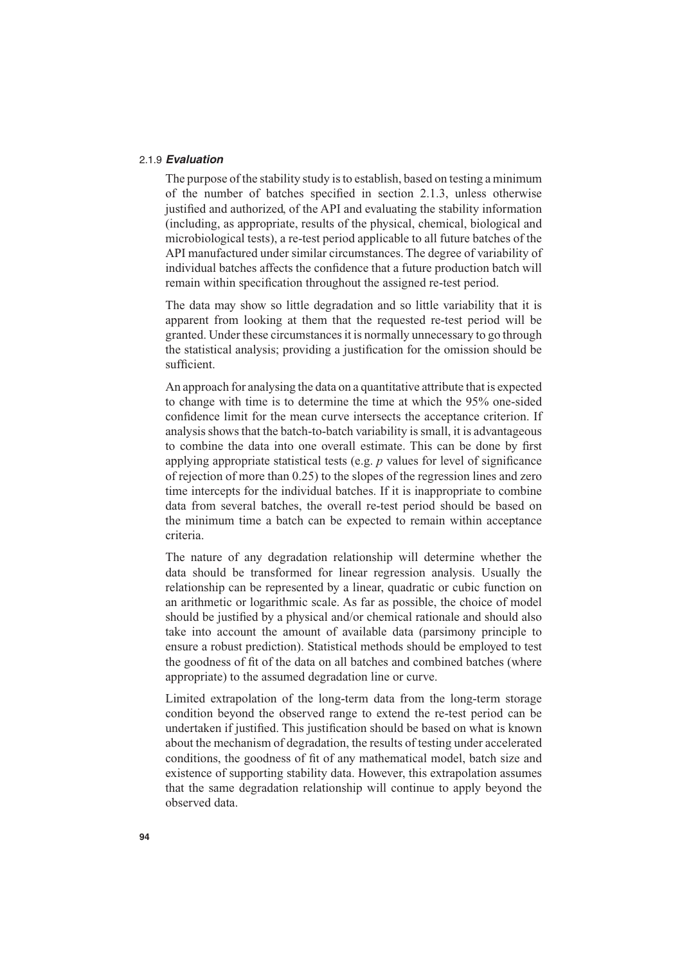### 2.1.9 *Evaluation*

The purpose of the stability study is to establish, based on testing a minimum of the number of batches specified in section 2.1.3, unless otherwise justified and authorized, of the API and evaluating the stability information (including, as appropriate, results of the physical, chemical, biological and microbiological tests), a re-test period applicable to all future batches of the API manufactured under similar circumstances. The degree of variability of individual batches affects the confidence that a future production batch will remain within specification throughout the assigned re-test period.

The data may show so little degradation and so little variability that it is apparent from looking at them that the requested re-test period will be granted. Under these circumstances it is normally unnecessary to go through the statistical analysis; providing a justification for the omission should be sufficient.

An approach for analysing the data on a quantitative attribute that is expected to change with time is to determine the time at which the 95% one-sided confidence limit for the mean curve intersects the acceptance criterion. If analysis shows that the batch-to-batch variability is small, it is advantageous to combine the data into one overall estimate. This can be done by first applying appropriate statistical tests (e.g.  $p$  values for level of significance of rejection of more than 0.25) to the slopes of the regression lines and zero time intercepts for the individual batches. If it is inappropriate to combine data from several batches, the overall re-test period should be based on the minimum time a batch can be expected to remain within acceptance criteria.

The nature of any degradation relationship will determine whether the data should be transformed for linear regression analysis. Usually the relationship can be represented by a linear, quadratic or cubic function on an arithmetic or logarithmic scale. As far as possible, the choice of model should be justified by a physical and/or chemical rationale and should also take into account the amount of available data (parsimony principle to ensure a robust prediction). Statistical methods should be employed to test the goodness of fit of the data on all batches and combined batches (where appropriate) to the assumed degradation line or curve.

Limited extrapolation of the long-term data from the long-term storage condition beyond the observed range to extend the re-test period can be undertaken if justified. This justification should be based on what is known about the mechanism of degradation, the results of testing under accelerated conditions, the goodness of fit of any mathematical model, batch size and existence of supporting stability data. However, this extrapolation assumes that the same degradation relationship will continue to apply beyond the observed data.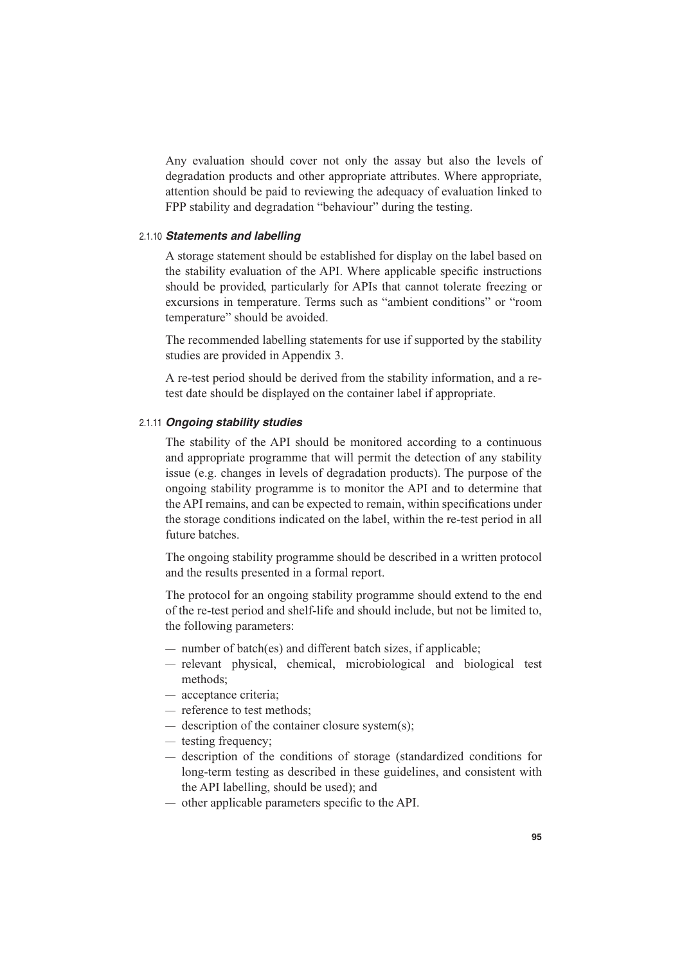Any evaluation should cover not only the assay but also the levels of degradation products and other appropriate attributes. Where appropriate, attention should be paid to reviewing the adequacy of evaluation linked to FPP stability and degradation "behaviour" during the testing.

## 2.1.10 *Statements and labelling*

A storage statement should be established for display on the label based on the stability evaluation of the API. Where applicable specific instructions should be provided, particularly for APIs that cannot tolerate freezing or excursions in temperature. Terms such as "ambient conditions" or "room temperature" should be avoided.

The recommended labelling statements for use if supported by the stability studies are provided in Appendix 3.

A re-test period should be derived from the stability information, and a retest date should be displayed on the container label if appropriate.

## 2.1.11 *Ongoing stability studies*

The stability of the API should be monitored according to a continuous and appropriate programme that will permit the detection of any stability issue (e.g. changes in levels of degradation products). The purpose of the ongoing stability programme is to monitor the API and to determine that the API remains, and can be expected to remain, within specifications under the storage conditions indicated on the label, within the re-test period in all future batches.

The ongoing stability programme should be described in a written protocol and the results presented in a formal report.

The protocol for an ongoing stability programme should extend to the end of the re-test period and shelf-life and should include, but not be limited to, the following parameters:

- number of batch(es) and different batch sizes, if applicable;
- relevant physical, chemical, microbiological and biological test methods;
- acceptance criteria;
- reference to test methods;
- description of the container closure system(s);
- testing frequency;
- description of the conditions of storage (standardized conditions for long-term testing as described in these guidelines, and consistent with the API labelling, should be used); and
- $-$  other applicable parameters specific to the API.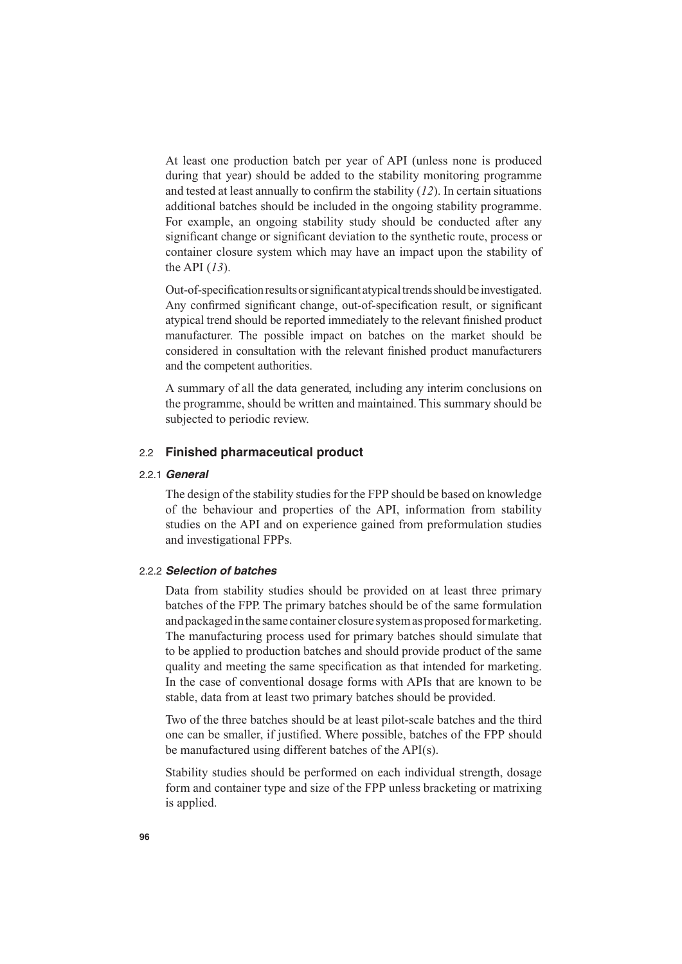At least one production batch per year of API (unless none is produced during that year) should be added to the stability monitoring programme and tested at least annually to confirm the stability  $(12)$ . In certain situations additional batches should be included in the ongoing stability programme. For example, an ongoing stability study should be conducted after any significant change or significant deviation to the synthetic route, process or container closure system which may have an impact upon the stability of the API (*13*).

Out-of-specification results or significant atypical trends should be investigated. Any confirmed significant change, out-of-specification result, or significant atypical trend should be reported immediately to the relevant finished product manufacturer. The possible impact on batches on the market should be considered in consultation with the relevant finished product manufacturers and the competent authorities.

A summary of all the data generated, including any interim conclusions on the programme, should be written and maintained. This summary should be subjected to periodic review.

## 2.2 **Finished pharmaceutical product**

#### 2.2.1 *General*

The design of the stability studies for the FPP should be based on knowledge of the behaviour and properties of the API, information from stability studies on the API and on experience gained from preformulation studies and investigational FPPs.

## 2.2.2 *Selection of batches*

Data from stability studies should be provided on at least three primary batches of the FPP. The primary batches should be of the same formulation and packaged in the same container closure system as proposed for marketing. The manufacturing process used for primary batches should simulate that to be applied to production batches and should provide product of the same quality and meeting the same specification as that intended for marketing. In the case of conventional dosage forms with APIs that are known to be stable, data from at least two primary batches should be provided.

Two of the three batches should be at least pilot-scale batches and the third one can be smaller, if justified. Where possible, batches of the FPP should be manufactured using different batches of the API(s).

Stability studies should be performed on each individual strength, dosage form and container type and size of the FPP unless bracketing or matrixing is applied.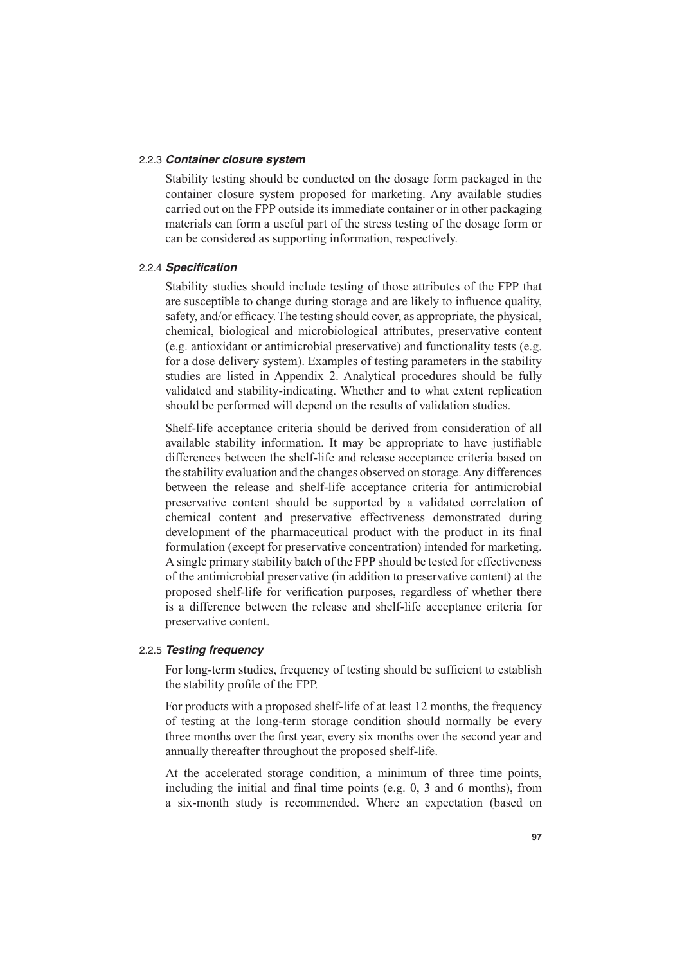## 2.2.3 *Container closure system*

Stability testing should be conducted on the dosage form packaged in the container closure system proposed for marketing. Any available studies carried out on the FPP outside its immediate container or in other packaging materials can form a useful part of the stress testing of the dosage form or can be considered as supporting information, respectively.

#### 2.2.4 *Specifi cation*

Stability studies should include testing of those attributes of the FPP that are susceptible to change during storage and are likely to influence quality, safety, and/or efficacy. The testing should cover, as appropriate, the physical, chemical, biological and microbiological attributes, preservative content (e.g. antioxidant or antimicrobial preservative) and functionality tests (e.g. for a dose delivery system). Examples of testing parameters in the stability studies are listed in Appendix 2. Analytical procedures should be fully validated and stability-indicating. Whether and to what extent replication should be performed will depend on the results of validation studies.

Shelf-life acceptance criteria should be derived from consideration of all available stability information. It may be appropriate to have justifiable differences between the shelf-life and release acceptance criteria based on the stability evaluation and the changes observed on storage. Any differences between the release and shelf-life acceptance criteria for antimicrobial preservative content should be supported by a validated correlation of chemical content and preservative effectiveness demonstrated during development of the pharmaceutical product with the product in its final formulation (except for preservative concentration) intended for marketing. A single primary stability batch of the FPP should be tested for effectiveness of the antimicrobial preservative (in addition to preservative content) at the proposed shelf-life for verification purposes, regardless of whether there is a difference between the release and shelf-life acceptance criteria for preservative content.

## 2.2.5 *Testing frequency*

For long-term studies, frequency of testing should be sufficient to establish the stability profile of the FPP.

For products with a proposed shelf-life of at least 12 months, the frequency of testing at the long-term storage condition should normally be every three months over the first year, every six months over the second year and annually thereafter throughout the proposed shelf-life.

At the accelerated storage condition, a minimum of three time points, including the initial and final time points (e.g.  $0$ ,  $3$  and  $6$  months), from a six-month study is recommended. Where an expectation (based on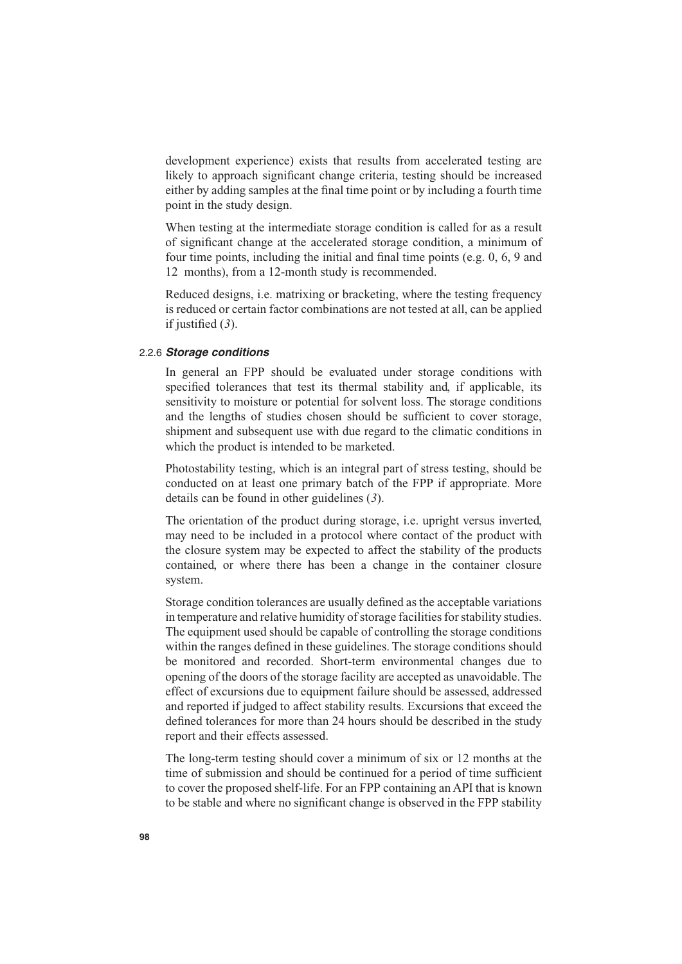development experience) exists that results from accelerated testing are likely to approach significant change criteria, testing should be increased either by adding samples at the final time point or by including a fourth time point in the study design.

When testing at the intermediate storage condition is called for as a result of significant change at the accelerated storage condition, a minimum of four time points, including the initial and final time points (e.g.  $0, 6, 9$  and 12 months), from a 12-month study is recommended.

Reduced designs, i.e. matrixing or bracketing, where the testing frequency is reduced or certain factor combinations are not tested at all, can be applied if justified (3).

### 2.2.6 *Storage conditions*

In general an FPP should be evaluated under storage conditions with specified tolerances that test its thermal stability and, if applicable, its sensitivity to moisture or potential for solvent loss. The storage conditions and the lengths of studies chosen should be sufficient to cover storage, shipment and subsequent use with due regard to the climatic conditions in which the product is intended to be marketed.

Photostability testing, which is an integral part of stress testing, should be conducted on at least one primary batch of the FPP if appropriate. More details can be found in other guidelines (*3*).

The orientation of the product during storage, i.e. upright versus inverted, may need to be included in a protocol where contact of the product with the closure system may be expected to affect the stability of the products contained, or where there has been a change in the container closure system.

Storage condition tolerances are usually defined as the acceptable variations in temperature and relative humidity of storage facilities for stability studies. The equipment used should be capable of controlling the storage conditions within the ranges defined in these guidelines. The storage conditions should be monitored and recorded. Short-term environmental changes due to opening of the doors of the storage facility are accepted as unavoidable. The effect of excursions due to equipment failure should be assessed, addressed and reported if judged to affect stability results. Excursions that exceed the defined tolerances for more than 24 hours should be described in the study report and their effects assessed.

The long-term testing should cover a minimum of six or 12 months at the time of submission and should be continued for a period of time sufficient to cover the proposed shelf-life. For an FPP containing an API that is known to be stable and where no significant change is observed in the FPP stability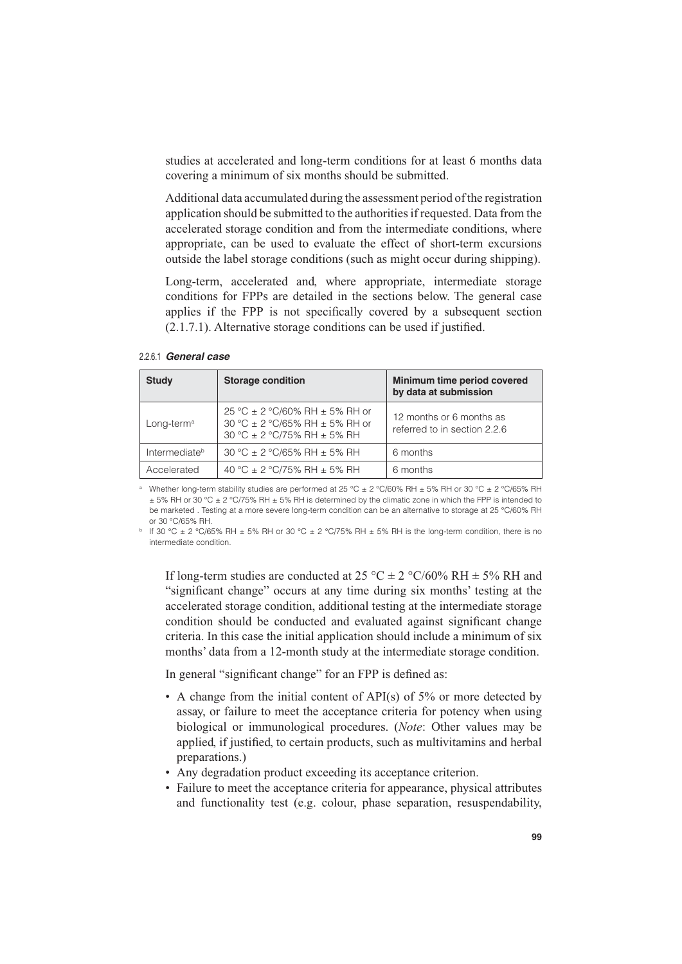studies at accelerated and long-term conditions for at least 6 months data covering a minimum of six months should be submitted.

Additional data accumulated during the assessment period of the registration application should be submitted to the authorities if requested. Data from the accelerated storage condition and from the intermediate conditions, where appropriate, can be used to evaluate the effect of short-term excursions outside the label storage conditions (such as might occur during shipping).

Long-term, accelerated and, where appropriate, intermediate storage conditions for FPPs are detailed in the sections below. The general case applies if the FPP is not specifically covered by a subsequent section  $(2.1.7.1)$ . Alternative storage conditions can be used if justified.

2.2.6.1 *General case*

| <b>Study</b>              | <b>Storage condition</b>                                                                                | Minimum time period covered<br>by data at submission     |
|---------------------------|---------------------------------------------------------------------------------------------------------|----------------------------------------------------------|
| Long-term <sup>a</sup>    | 25 °C $\pm$ 2 °C/60% RH $\pm$ 5% RH or<br>30 °C ± 2 °C/65% RH ± 5% RH or<br>30 °C ± 2 °C/75% RH ± 5% RH | 12 months or 6 months as<br>referred to in section 2.2.6 |
| Intermediate <sup>b</sup> | 30 °C $\pm$ 2 °C/65% RH $\pm$ 5% RH                                                                     | 6 months                                                 |
| Accelerated               | 40 °C $\pm$ 2 °C/75% RH $\pm$ 5% RH                                                                     | 6 months                                                 |

a Whether long-term stability studies are performed at 25 °C ± 2 °C/60% RH ± 5% RH or 30 °C ± 2 °C/65% RH  $\pm$  5% RH or 30 °C  $\pm$  2 °C/75% RH  $\pm$  5% RH is determined by the climatic zone in which the FPP is intended to be marketed . Testing at a more severe long-term condition can be an alternative to storage at 25 °C/60% RH or 30 °C/65% RH.

<sup>b</sup> If 30 °C  $\pm$  2 °C/65% RH  $\pm$  5% RH or 30 °C  $\pm$  2 °C/75% RH  $\pm$  5% RH is the long-term condition, there is no intermediate condition.

If long-term studies are conducted at 25 °C  $\pm$  2 °C/60% RH  $\pm$  5% RH and "significant change" occurs at any time during six months' testing at the accelerated storage condition, additional testing at the intermediate storage condition should be conducted and evaluated against significant change criteria. In this case the initial application should include a minimum of six months' data from a 12-month study at the intermediate storage condition.

In general "significant change" for an FPP is defined as:

- A change from the initial content of API(s) of 5% or more detected by assay, or failure to meet the acceptance criteria for potency when using biological or immunological procedures. (*Note*: Other values may be applied, if justified, to certain products, such as multivitamins and herbal preparations.)
- Any degradation product exceeding its acceptance criterion.
- Failure to meet the acceptance criteria for appearance, physical attributes and functionality test (e.g. colour, phase separation, resuspendability,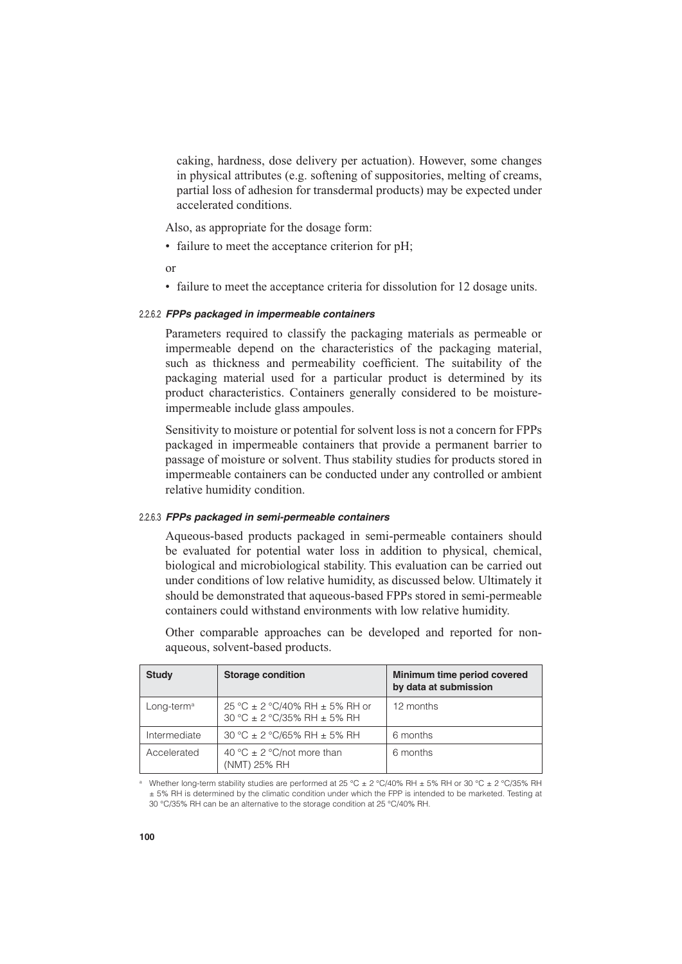caking, hardness, dose delivery per actuation). However, some changes in physical attributes (e.g. softening of suppositories, melting of creams, partial loss of adhesion for transdermal products) may be expected under accelerated conditions.

Also, as appropriate for the dosage form:

• failure to meet the acceptance criterion for pH;

or

• failure to meet the acceptance criteria for dissolution for 12 dosage units.

#### 2.2.6.2 *FPPs packaged in impermeable containers*

Parameters required to classify the packaging materials as permeable or impermeable depend on the characteristics of the packaging material, such as thickness and permeability coefficient. The suitability of the packaging material used for a particular product is determined by its product characteristics. Containers generally considered to be moistureimpermeable include glass ampoules.

Sensitivity to moisture or potential for solvent loss is not a concern for FPPs packaged in impermeable containers that provide a permanent barrier to passage of moisture or solvent. Thus stability studies for products stored in impermeable containers can be conducted under any controlled or ambient relative humidity condition.

#### 2.2.6.3 *FPPs packaged in semi-permeable containers*

Aqueous-based products packaged in semi-permeable containers should be evaluated for potential water loss in addition to physical, chemical, biological and microbiological stability. This evaluation can be carried out under conditions of low relative humidity, as discussed below. Ultimately it should be demonstrated that aqueous-based FPPs stored in semi-permeable containers could withstand environments with low relative humidity.

Other comparable approaches can be developed and reported for nonaqueous, solvent-based products.

| <b>Study</b>           | <b>Storage condition</b>                                                      | Minimum time period covered<br>by data at submission |
|------------------------|-------------------------------------------------------------------------------|------------------------------------------------------|
| Long-term <sup>a</sup> | 25 °C $\pm$ 2 °C/40% RH $\pm$ 5% RH or<br>30 °C $\pm$ 2 °C/35% RH $\pm$ 5% RH | 12 months                                            |
| Intermediate           | 30 °C $\pm$ 2 °C/65% RH $\pm$ 5% RH                                           | 6 months                                             |
| Accelerated            | 40 °C $\pm$ 2 °C/not more than<br>(NMT) 25% RH                                | 6 months                                             |

 $^{\rm a}$  Whether long-term stability studies are performed at 25 °C  $\pm$  2 °C/40% RH  $\pm$  5% RH or 30 °C  $\pm$  2 °C/35% RH ± 5% RH is determined by the climatic condition under which the FPP is intended to be marketed. Testing at 30 °C/35% RH can be an alternative to the storage condition at 25 °C/40% RH.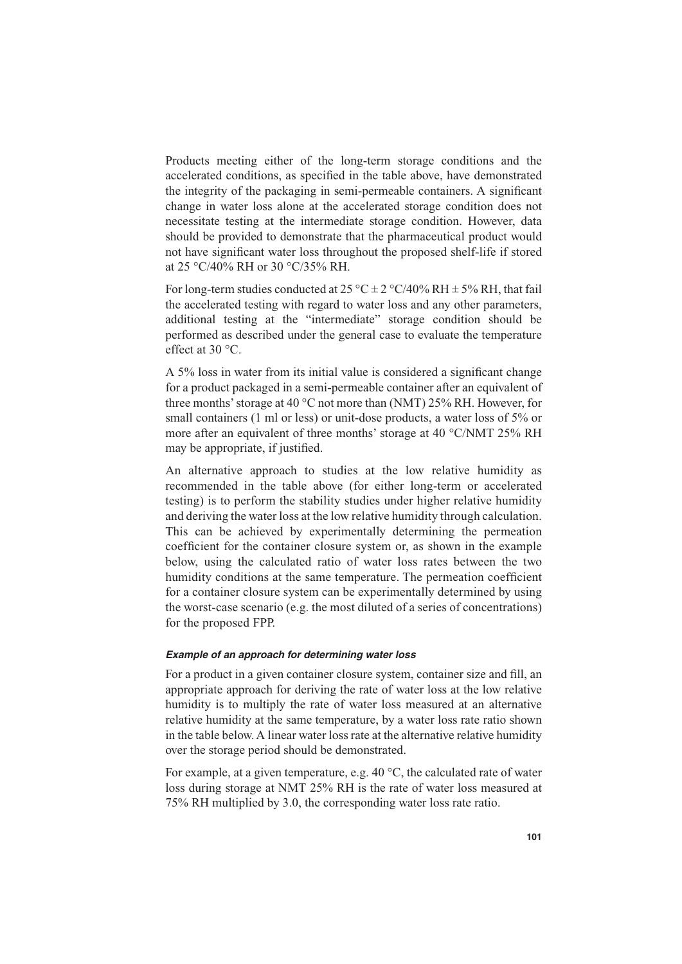Products meeting either of the long-term storage conditions and the accelerated conditions, as specified in the table above, have demonstrated the integrity of the packaging in semi-permeable containers. A significant change in water loss alone at the accelerated storage condition does not necessitate testing at the intermediate storage condition. However, data should be provided to demonstrate that the pharmaceutical product would not have significant water loss throughout the proposed shelf-life if stored at 25 °C/40% RH or 30 °C/35% RH.

For long-term studies conducted at 25 °C  $\pm$  2 °C/40% RH  $\pm$  5% RH, that fail the accelerated testing with regard to water loss and any other parameters, additional testing at the "intermediate" storage condition should be performed as described under the general case to evaluate the temperature effect at 30 °C.

A 5% loss in water from its initial value is considered a significant change for a product packaged in a semi-permeable container after an equivalent of three months' storage at 40 °C not more than (NMT) 25% RH. However, for small containers (1 ml or less) or unit-dose products, a water loss of 5% or more after an equivalent of three months' storage at 40 °C/NMT 25% RH may be appropriate, if justified.

An alternative approach to studies at the low relative humidity as recommended in the table above (for either long-term or accelerated testing) is to perform the stability studies under higher relative humidity and deriving the water loss at the low relative humidity through calculation. This can be achieved by experimentally determining the permeation coefficient for the container closure system or, as shown in the example below, using the calculated ratio of water loss rates between the two humidity conditions at the same temperature. The permeation coefficient for a container closure system can be experimentally determined by using the worst-case scenario (e.g. the most diluted of a series of concentrations) for the proposed FPP.

#### *Example of an approach for determining water loss*

For a product in a given container closure system, container size and fill, an appropriate approach for deriving the rate of water loss at the low relative humidity is to multiply the rate of water loss measured at an alternative relative humidity at the same temperature, by a water loss rate ratio shown in the table below. A linear water loss rate at the alternative relative humidity over the storage period should be demonstrated.

For example, at a given temperature, e.g. 40 °C, the calculated rate of water loss during storage at NMT 25% RH is the rate of water loss measured at 75% RH multiplied by 3.0, the corresponding water loss rate ratio.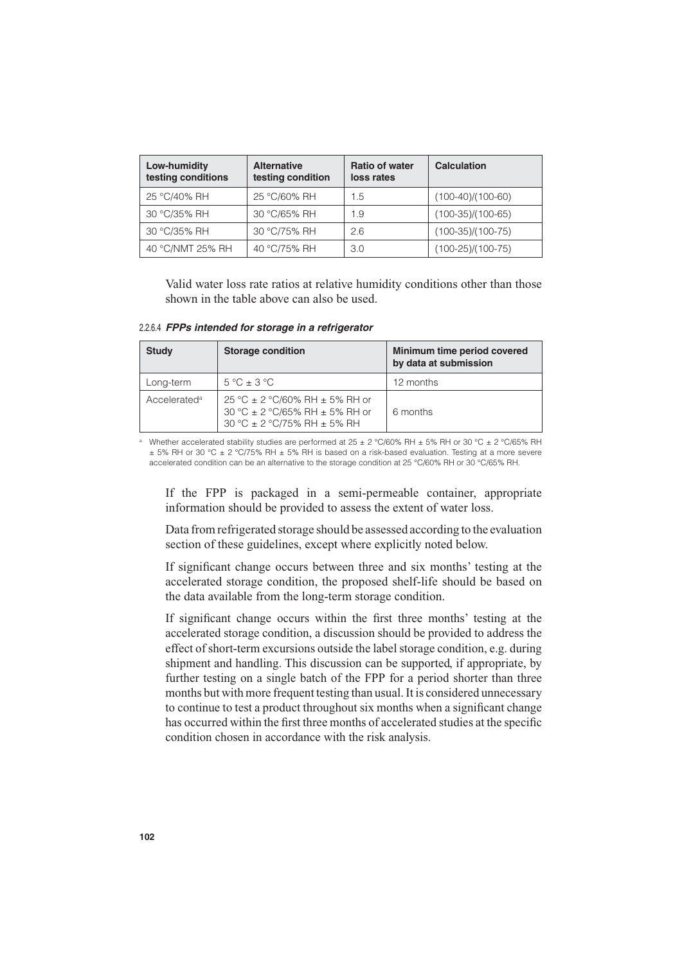| Low-humidity<br>testing conditions | <b>Alternative</b><br>testing condition | <b>Ratio of water</b><br>loss rates | <b>Calculation</b>  |
|------------------------------------|-----------------------------------------|-------------------------------------|---------------------|
| 25 °C/40% RH                       | 25 °C/60% RH                            | 1.5                                 | $(100-40)/(100-60)$ |
| 30 °C/35% RH                       | 30 °C/65% RH                            | 1.9                                 | $(100-35)/(100-65)$ |
| 30 °C/35% RH                       | 30 °C/75% RH                            | 26                                  | $(100-35)/(100-75)$ |
| 40 °C/NMT 25% RH                   | 40 °C/75% RH                            | 3.0                                 | $(100-25)/(100-75)$ |

Valid water loss rate ratios at relative humidity conditions other than those shown in the table above can also be used.

2.2.6.4 *FPPs intended for storage in a refrigerator*

| <b>Study</b>             | <b>Storage condition</b>                                                                                        | Minimum time period covered<br>by data at submission |
|--------------------------|-----------------------------------------------------------------------------------------------------------------|------------------------------------------------------|
| Long-term                | $5^{\circ}$ C $\pm$ 3 $^{\circ}$ C                                                                              | 12 months                                            |
| Accelerated <sup>a</sup> | 25 °C $\pm$ 2 °C/60% RH $\pm$ 5% RH or<br>30 °C $\pm$ 2 °C/65% RH $\pm$ 5% RH or<br>30 °C ± 2 °C/75% RH ± 5% RH | 6 months                                             |

 $^{\rm a}$  Whether accelerated stability studies are performed at 25  $\pm$  2 °C/60% RH  $\pm$  5% RH or 30 °C  $\pm$  2 °C/65% RH ± 5% RH or 30 °C ± 2 °C/75% RH ± 5% RH is based on a risk-based evaluation. Testing at a more severe accelerated condition can be an alternative to the storage condition at 25 °C/60% RH or 30 °C/65% RH.

If the FPP is packaged in a semi-permeable container, appropriate information should be provided to assess the extent of water loss.

Data from refrigerated storage should be assessed according to the evaluation section of these guidelines, except where explicitly noted below.

If significant change occurs between three and six months' testing at the accelerated storage condition, the proposed shelf-life should be based on the data available from the long-term storage condition.

If significant change occurs within the first three months' testing at the accelerated storage condition, a discussion should be provided to address the effect of short-term excursions outside the label storage condition, e.g. during shipment and handling. This discussion can be supported, if appropriate, by further testing on a single batch of the FPP for a period shorter than three months but with more frequent testing than usual. It is considered unnecessary to continue to test a product throughout six months when a significant change has occurred within the first three months of accelerated studies at the specific condition chosen in accordance with the risk analysis.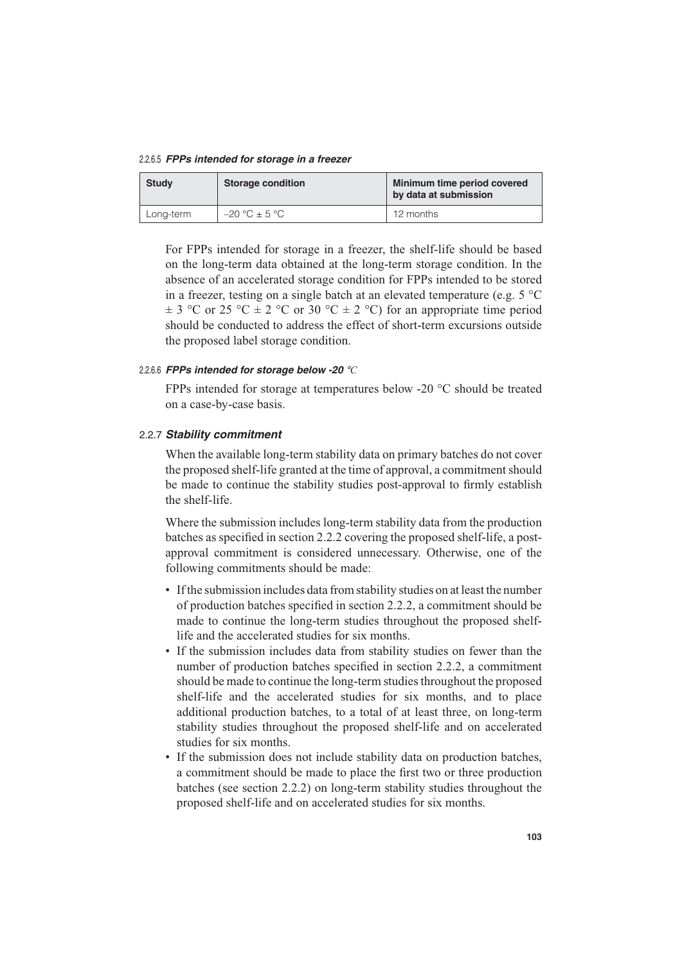2.2.6.5 *FPPs intended for storage in a freezer*

| Study     | <b>Storage condition</b> | Minimum time period covered<br>by data at submission |
|-----------|--------------------------|------------------------------------------------------|
| Long-term | $-20 °C \pm 5 °C$        | 12 months                                            |

For FPPs intended for storage in a freezer, the shelf-life should be based on the long-term data obtained at the long-term storage condition. In the absence of an accelerated storage condition for FPPs intended to be stored in a freezer, testing on a single batch at an elevated temperature (e.g.  $5 \text{ }^{\circ}\text{C}$ )  $\pm$  3 °C or 25 °C  $\pm$  2 °C or 30 °C  $\pm$  2 °C) for an appropriate time period should be conducted to address the effect of short-term excursions outside the proposed label storage condition.

## 2.2.6.6 *FPPs intended for storage below -20 °C*

FPPs intended for storage at temperatures below -20 °C should be treated on a case-by-case basis.

### 2.2.7 *Stability commitment*

When the available long-term stability data on primary batches do not cover the proposed shelf-life granted at the time of approval, a commitment should be made to continue the stability studies post-approval to firmly establish the shelf-life.

Where the submission includes long-term stability data from the production batches as specified in section 2.2.2 covering the proposed shelf-life, a postapproval commitment is considered unnecessary. Otherwise, one of the following commitments should be made:

- If the submission includes data from stability studies on at least the number of production batches specified in section 2.2.2, a commitment should be made to continue the long-term studies throughout the proposed shelflife and the accelerated studies for six months.
- If the submission includes data from stability studies on fewer than the number of production batches specified in section 2.2.2, a commitment should be made to continue the long-term studies throughout the proposed shelf-life and the accelerated studies for six months, and to place additional production batches, to a total of at least three, on long-term stability studies throughout the proposed shelf-life and on accelerated studies for six months.
- If the submission does not include stability data on production batches, a commitment should be made to place the first two or three production batches (see section 2.2.2) on long-term stability studies throughout the proposed shelf-life and on accelerated studies for six months.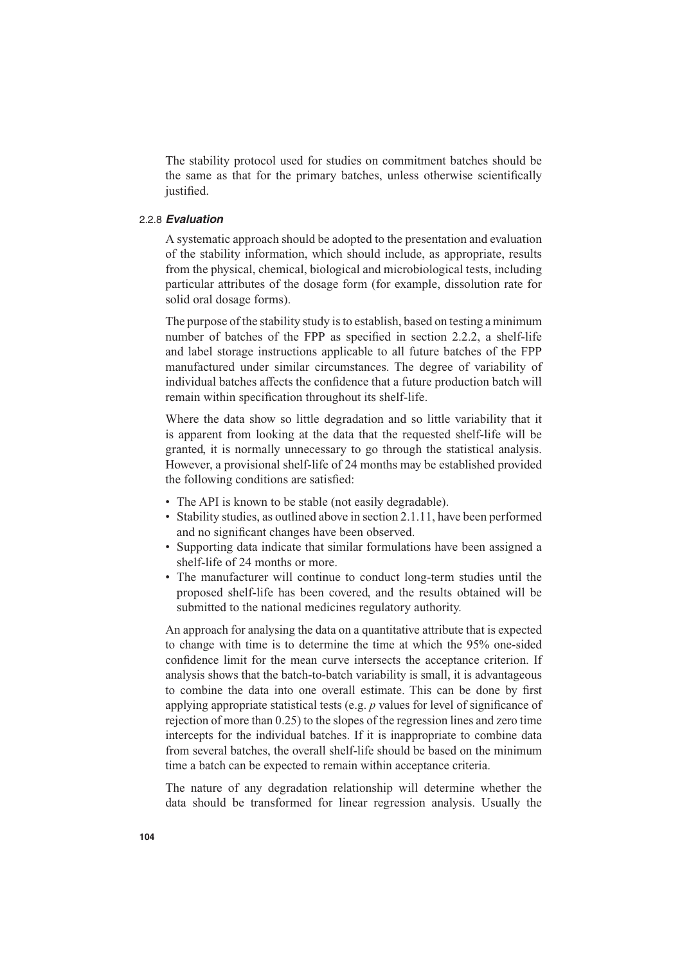The stability protocol used for studies on commitment batches should be the same as that for the primary batches, unless otherwise scientifically justified.

## 2.2.8 *Evaluation*

A systematic approach should be adopted to the presentation and evaluation of the stability information, which should include, as appropriate, results from the physical, chemical, biological and microbiological tests, including particular attributes of the dosage form (for example, dissolution rate for solid oral dosage forms).

The purpose of the stability study is to establish, based on testing a minimum number of batches of the FPP as specified in section 2.2.2, a shelf-life and label storage instructions applicable to all future batches of the FPP manufactured under similar circumstances. The degree of variability of individual batches affects the confidence that a future production batch will remain within specification throughout its shelf-life.

Where the data show so little degradation and so little variability that it is apparent from looking at the data that the requested shelf-life will be granted, it is normally unnecessary to go through the statistical analysis. However, a provisional shelf-life of 24 months may be established provided the following conditions are satisfied:

- The API is known to be stable (not easily degradable).
- Stability studies, as outlined above in section 2.1.11, have been performed and no significant changes have been observed.
- Supporting data indicate that similar formulations have been assigned a shelf-life of 24 months or more.
- The manufacturer will continue to conduct long-term studies until the proposed shelf-life has been covered, and the results obtained will be submitted to the national medicines regulatory authority.

An approach for analysing the data on a quantitative attribute that is expected to change with time is to determine the time at which the 95% one-sided confidence limit for the mean curve intersects the acceptance criterion. If analysis shows that the batch-to-batch variability is small, it is advantageous to combine the data into one overall estimate. This can be done by first applying appropriate statistical tests (e.g.  $p$  values for level of significance of rejection of more than 0.25) to the slopes of the regression lines and zero time intercepts for the individual batches. If it is inappropriate to combine data from several batches, the overall shelf-life should be based on the minimum time a batch can be expected to remain within acceptance criteria.

The nature of any degradation relationship will determine whether the data should be transformed for linear regression analysis. Usually the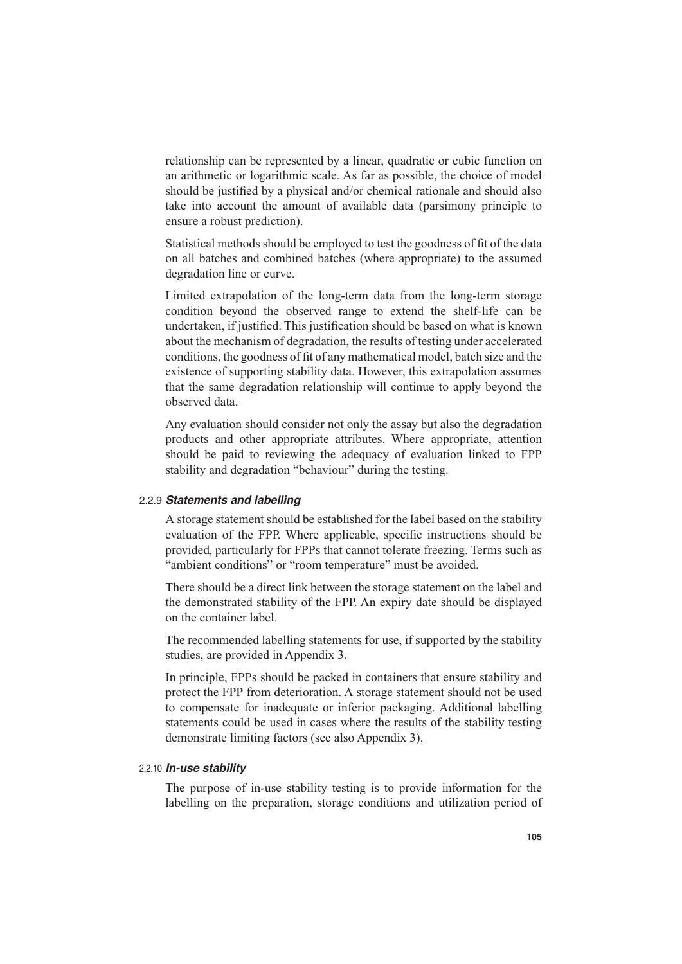relationship can be represented by a linear, quadratic or cubic function on an arithmetic or logarithmic scale. As far as possible, the choice of model should be justified by a physical and/or chemical rationale and should also take into account the amount of available data (parsimony principle to ensure a robust prediction).

Statistical methods should be employed to test the goodness of fit of the data on all batches and combined batches (where appropriate) to the assumed degradation line or curve.

Limited extrapolation of the long-term data from the long-term storage condition beyond the observed range to extend the shelf-life can be undertaken, if justified. This justification should be based on what is known about the mechanism of degradation, the results of testing under accelerated conditions, the goodness of fit of any mathematical model, batch size and the existence of supporting stability data. However, this extrapolation assumes that the same degradation relationship will continue to apply beyond the observed data.

Any evaluation should consider not only the assay but also the degradation products and other appropriate attributes. Where appropriate, attention should be paid to reviewing the adequacy of evaluation linked to FPP stability and degradation "behaviour" during the testing.

## 2.2.9 *Statements and labelling*

A storage statement should be established for the label based on the stability evaluation of the FPP. Where applicable, specific instructions should be provided, particularly for FPPs that cannot tolerate freezing. Terms such as "ambient conditions" or "room temperature" must be avoided.

There should be a direct link between the storage statement on the label and the demonstrated stability of the FPP. An expiry date should be displayed on the container label.

The recommended labelling statements for use, if supported by the stability studies, are provided in Appendix 3.

In principle, FPPs should be packed in containers that ensure stability and protect the FPP from deterioration. A storage statement should not be used to compensate for inadequate or inferior packaging. Additional labelling statements could be used in cases where the results of the stability testing demonstrate limiting factors (see also Appendix 3).

## 2.2.10 *In-use stability*

The purpose of in-use stability testing is to provide information for the labelling on the preparation, storage conditions and utilization period of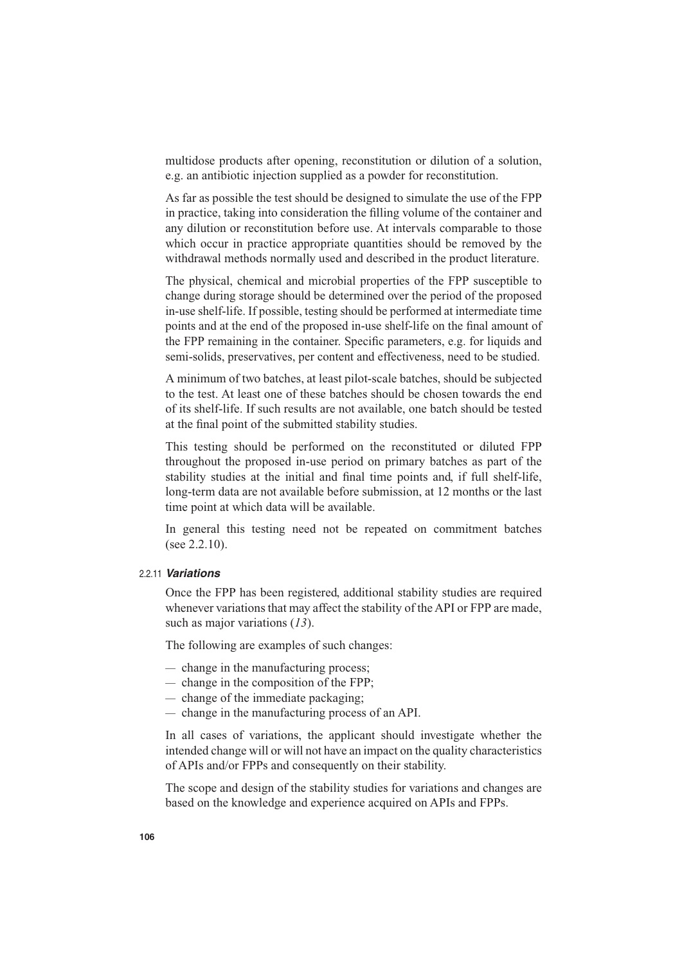multidose products after opening, reconstitution or dilution of a solution, e.g. an antibiotic injection supplied as a powder for reconstitution.

As far as possible the test should be designed to simulate the use of the FPP in practice, taking into consideration the filling volume of the container and any dilution or reconstitution before use. At intervals comparable to those which occur in practice appropriate quantities should be removed by the withdrawal methods normally used and described in the product literature.

The physical, chemical and microbial properties of the FPP susceptible to change during storage should be determined over the period of the proposed in-use shelf-life. If possible, testing should be performed at intermediate time points and at the end of the proposed in-use shelf-life on the final amount of the FPP remaining in the container. Specific parameters, e.g. for liquids and semi-solids, preservatives, per content and effectiveness, need to be studied.

A minimum of two batches, at least pilot-scale batches, should be subjected to the test. At least one of these batches should be chosen towards the end of its shelf-life. If such results are not available, one batch should be tested at the final point of the submitted stability studies.

This testing should be performed on the reconstituted or diluted FPP throughout the proposed in-use period on primary batches as part of the stability studies at the initial and final time points and, if full shelf-life, long-term data are not available before submission, at 12 months or the last time point at which data will be available.

In general this testing need not be repeated on commitment batches (see 2.2.10).

## 2.2.11 *Variations*

Once the FPP has been registered, additional stability studies are required whenever variations that may affect the stability of the API or FPP are made, such as major variations (*13*).

The following are examples of such changes:

- change in the manufacturing process;
- change in the composition of the FPP;
- change of the immediate packaging;
- change in the manufacturing process of an API.

In all cases of variations, the applicant should investigate whether the intended change will or will not have an impact on the quality characteristics of APIs and/or FPPs and consequently on their stability.

The scope and design of the stability studies for variations and changes are based on the knowledge and experience acquired on APIs and FPPs.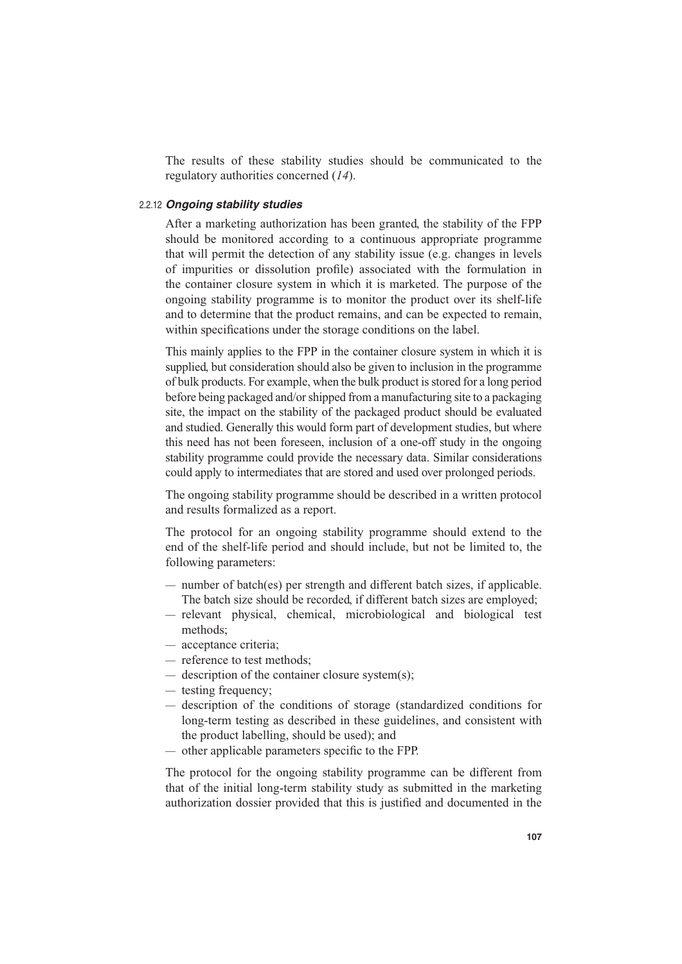The results of these stability studies should be communicated to the regulatory authorities concerned (*14*).

## 2.2.12 *Ongoing stability studies*

After a marketing authorization has been granted, the stability of the FPP should be monitored according to a continuous appropriate programme that will permit the detection of any stability issue (e.g. changes in levels of impurities or dissolution profile) associated with the formulation in the container closure system in which it is marketed. The purpose of the ongoing stability programme is to monitor the product over its shelf-life and to determine that the product remains, and can be expected to remain, within specifications under the storage conditions on the label.

This mainly applies to the FPP in the container closure system in which it is supplied, but consideration should also be given to inclusion in the programme of bulk products. For example, when the bulk product is stored for a long period before being packaged and/or shipped from a manufacturing site to a packaging site, the impact on the stability of the packaged product should be evaluated and studied. Generally this would form part of development studies, but where this need has not been foreseen, inclusion of a one-off study in the ongoing stability programme could provide the necessary data. Similar considerations could apply to intermediates that are stored and used over prolonged periods.

The ongoing stability programme should be described in a written protocol and results formalized as a report.

The protocol for an ongoing stability programme should extend to the end of the shelf-life period and should include, but not be limited to, the following parameters:

- number of batch(es) per strength and different batch sizes, if applicable. The batch size should be recorded, if different batch sizes are employed;
- relevant physical, chemical, microbiological and biological test methods;
- acceptance criteria;
- reference to test methods;
- description of the container closure system(s);
- testing frequency;
- description of the conditions of storage (standardized conditions for long-term testing as described in these guidelines, and consistent with the product labelling, should be used); and
- $-$  other applicable parameters specific to the FPP.

The protocol for the ongoing stability programme can be different from that of the initial long-term stability study as submitted in the marketing authorization dossier provided that this is justified and documented in the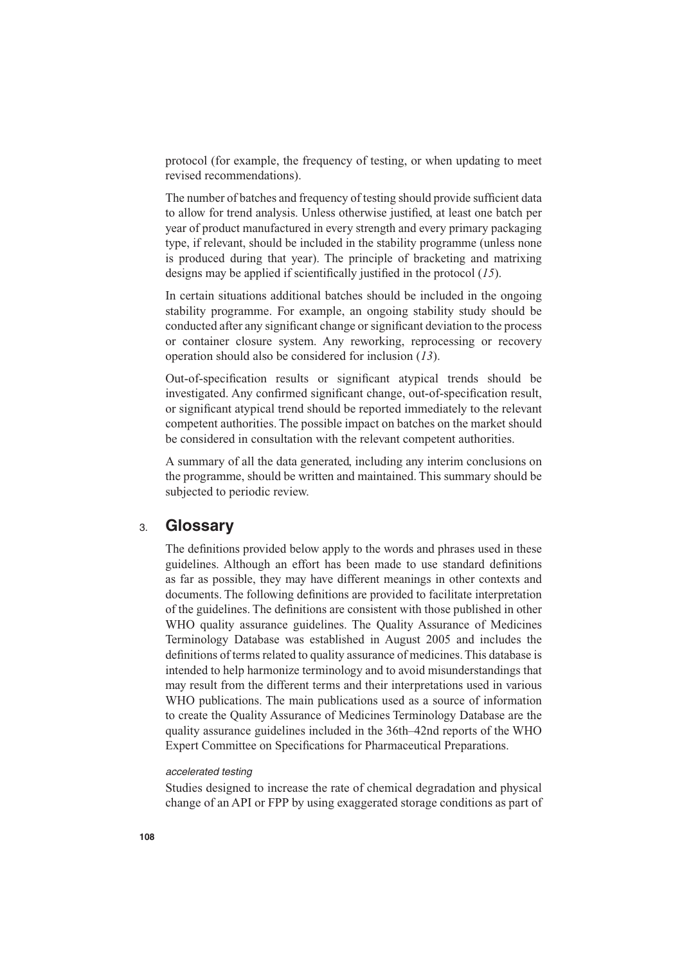protocol (for example, the frequency of testing, or when updating to meet revised recommendations).

The number of batches and frequency of testing should provide sufficient data to allow for trend analysis. Unless otherwise justified, at least one batch per year of product manufactured in every strength and every primary packaging type, if relevant, should be included in the stability programme (unless none is produced during that year). The principle of bracketing and matrixing designs may be applied if scientifically justified in the protocol  $(15)$ .

In certain situations additional batches should be included in the ongoing stability programme. For example, an ongoing stability study should be conducted after any significant change or significant deviation to the process or container closure system. Any reworking, reprocessing or recovery operation should also be considered for inclusion (*13*).

Out-of-specification results or significant atypical trends should be investigated. Any confirmed significant change, out-of-specification result, or significant atypical trend should be reported immediately to the relevant competent authorities. The possible impact on batches on the market should be considered in consultation with the relevant competent authorities.

A summary of all the data generated, including any interim conclusions on the programme, should be written and maintained. This summary should be subjected to periodic review.

## 3. **Glossary**

The definitions provided below apply to the words and phrases used in these guidelines. Although an effort has been made to use standard definitions as far as possible, they may have different meanings in other contexts and documents. The following definitions are provided to facilitate interpretation of the guidelines. The definitions are consistent with those published in other WHO quality assurance guidelines. The Quality Assurance of Medicines Terminology Database was established in August 2005 and includes the definitions of terms related to quality assurance of medicines. This database is intended to help harmonize terminology and to avoid misunderstandings that may result from the different terms and their interpretations used in various WHO publications. The main publications used as a source of information to create the Quality Assurance of Medicines Terminology Database are the quality assurance guidelines included in the 36th–42nd reports of the WHO Expert Committee on Specifications for Pharmaceutical Preparations.

## accelerated testing

Studies designed to increase the rate of chemical degradation and physical change of an API or FPP by using exaggerated storage conditions as part of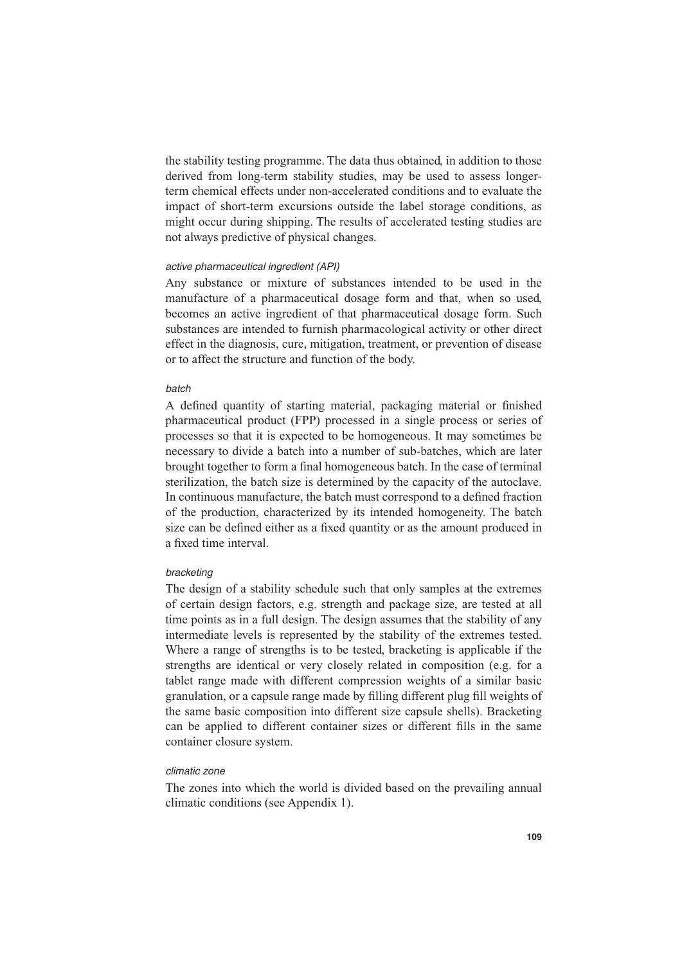the stability testing programme. The data thus obtained, in addition to those derived from long-term stability studies, may be used to assess longerterm chemical effects under non-accelerated conditions and to evaluate the impact of short-term excursions outside the label storage conditions, as might occur during shipping. The results of accelerated testing studies are not always predictive of physical changes.

#### active pharmaceutical ingredient (API)

Any substance or mixture of substances intended to be used in the manufacture of a pharmaceutical dosage form and that, when so used, becomes an active ingredient of that pharmaceutical dosage form. Such substances are intended to furnish pharmacological activity or other direct effect in the diagnosis, cure, mitigation, treatment, or prevention of disease or to affect the structure and function of the body.

#### batch

A defined quantity of starting material, packaging material or finished pharmaceutical product (FPP) processed in a single process or series of processes so that it is expected to be homogeneous. It may sometimes be necessary to divide a batch into a number of sub-batches, which are later brought together to form a final homogeneous batch. In the case of terminal sterilization, the batch size is determined by the capacity of the autoclave. In continuous manufacture, the batch must correspond to a defined fraction of the production, characterized by its intended homogeneity. The batch size can be defined either as a fixed quantity or as the amount produced in a fixed time interval.

#### bracketing

The design of a stability schedule such that only samples at the extremes of certain design factors, e.g. strength and package size, are tested at all time points as in a full design. The design assumes that the stability of any intermediate levels is represented by the stability of the extremes tested. Where a range of strengths is to be tested, bracketing is applicable if the strengths are identical or very closely related in composition (e.g. for a tablet range made with different compression weights of a similar basic granulation, or a capsule range made by filling different plug fill weights of the same basic composition into different size capsule shells). Bracketing can be applied to different container sizes or different fills in the same container closure system.

#### climatic zone

The zones into which the world is divided based on the prevailing annual climatic conditions (see Appendix 1).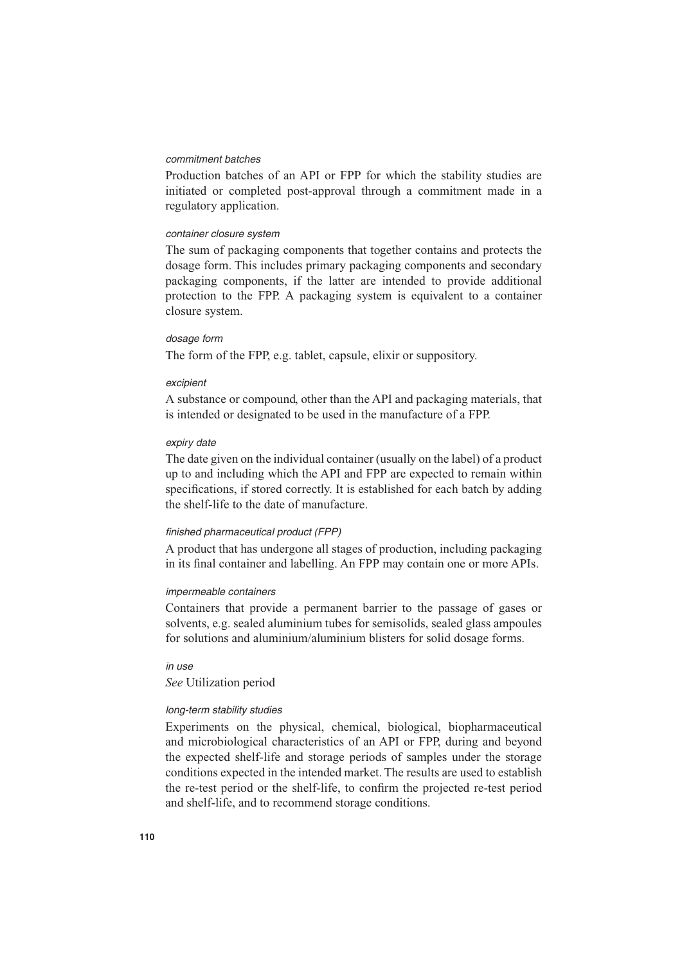#### commitment batches

Production batches of an API or FPP for which the stability studies are initiated or completed post-approval through a commitment made in a regulatory application.

#### container closure system

The sum of packaging components that together contains and protects the dosage form. This includes primary packaging components and secondary packaging components, if the latter are intended to provide additional protection to the FPP. A packaging system is equivalent to a container closure system.

#### dosage form

The form of the FPP, e.g. tablet, capsule, elixir or suppository.

#### excipient

A substance or compound, other than the API and packaging materials, that is intended or designated to be used in the manufacture of a FPP.

#### expiry date

The date given on the individual container (usually on the label) of a product up to and including which the API and FPP are expected to remain within specifications, if stored correctly. It is established for each batch by adding the shelf-life to the date of manufacture.

## finished pharmaceutical product (FPP)

A product that has undergone all stages of production, including packaging in its final container and labelling. An FPP may contain one or more APIs.

#### impermeable containers

Containers that provide a permanent barrier to the passage of gases or solvents, e.g. sealed aluminium tubes for semisolids, sealed glass ampoules for solutions and aluminium/aluminium blisters for solid dosage forms.

## in use

*See* Utilization period

## long-term stability studies

Experiments on the physical, chemical, biological, biopharmaceutical and microbiological characteristics of an API or FPP, during and beyond the expected shelf-life and storage periods of samples under the storage conditions expected in the intended market. The results are used to establish the re-test period or the shelf-life, to confirm the projected re-test period and shelf-life, and to recommend storage conditions.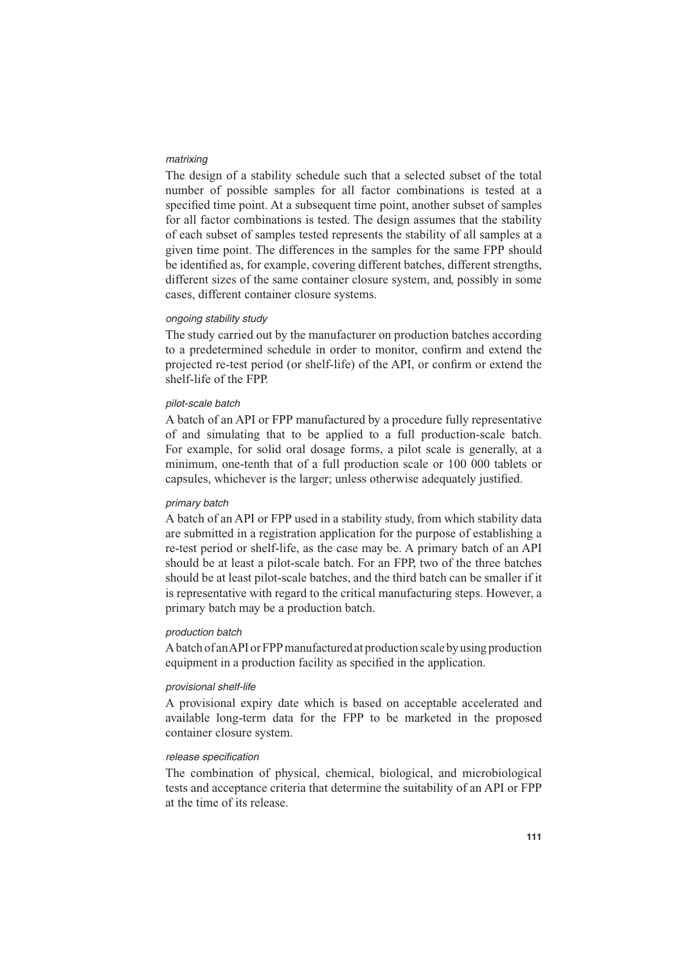## matrixing

The design of a stability schedule such that a selected subset of the total number of possible samples for all factor combinations is tested at a specified time point. At a subsequent time point, another subset of samples for all factor combinations is tested. The design assumes that the stability of each subset of samples tested represents the stability of all samples at a given time point. The differences in the samples for the same FPP should be identified as, for example, covering different batches, different strengths, different sizes of the same container closure system, and, possibly in some cases, different container closure systems.

### ongoing stability study

The study carried out by the manufacturer on production batches according to a predetermined schedule in order to monitor, confirm and extend the projected re-test period (or shelf-life) of the API, or confirm or extend the shelf-life of the FPP.

#### pilot-scale batch

A batch of an API or FPP manufactured by a procedure fully representative of and simulating that to be applied to a full production-scale batch. For example, for solid oral dosage forms, a pilot scale is generally, at a minimum, one-tenth that of a full production scale or 100 000 tablets or capsules, whichever is the larger; unless otherwise adequately justified.

## primary batch

A batch of an API or FPP used in a stability study, from which stability data are submitted in a registration application for the purpose of establishing a re-test period or shelf-life, as the case may be. A primary batch of an API should be at least a pilot-scale batch. For an FPP, two of the three batches should be at least pilot-scale batches, and the third batch can be smaller if it is representative with regard to the critical manufacturing steps. However, a primary batch may be a production batch.

#### production batch

A batch of an API or FPP manufactured at production scale by using production equipment in a production facility as specified in the application.

#### provisional shelf-life

A provisional expiry date which is based on acceptable accelerated and available long-term data for the FPP to be marketed in the proposed container closure system.

## release specification

The combination of physical, chemical, biological, and microbiological tests and acceptance criteria that determine the suitability of an API or FPP at the time of its release.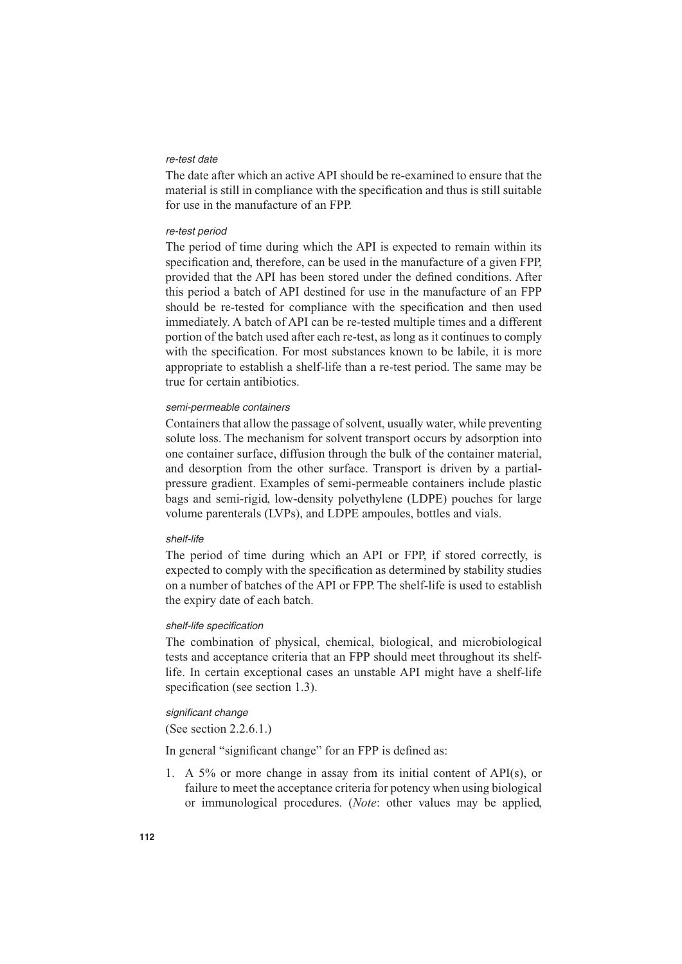## re-test date

The date after which an active API should be re-examined to ensure that the material is still in compliance with the specification and thus is still suitable for use in the manufacture of an FPP.

#### re-test period

The period of time during which the API is expected to remain within its specification and, therefore, can be used in the manufacture of a given FPP, provided that the API has been stored under the defined conditions. After this period a batch of API destined for use in the manufacture of an FPP should be re-tested for compliance with the specification and then used immediately. A batch of API can be re-tested multiple times and a different portion of the batch used after each re-test, as long as it continues to comply with the specification. For most substances known to be labile, it is more appropriate to establish a shelf-life than a re-test period. The same may be true for certain antibiotics.

#### semi-permeable containers

Containers that allow the passage of solvent, usually water, while preventing solute loss. The mechanism for solvent transport occurs by adsorption into one container surface, diffusion through the bulk of the container material, and desorption from the other surface. Transport is driven by a partialpressure gradient. Examples of semi-permeable containers include plastic bags and semi-rigid, low-density polyethylene (LDPE) pouches for large volume parenterals (LVPs), and LDPE ampoules, bottles and vials.

#### shelf-life

The period of time during which an API or FPP, if stored correctly, is expected to comply with the specification as determined by stability studies on a number of batches of the API or FPP. The shelf-life is used to establish the expiry date of each batch.

#### shelf-life specification

The combination of physical, chemical, biological, and microbiological tests and acceptance criteria that an FPP should meet throughout its shelflife. In certain exceptional cases an unstable API might have a shelf-life specification (see section 1.3).

#### significant change

(See section 2.2.6.1.)

In general "significant change" for an FPP is defined as:

1. A 5% or more change in assay from its initial content of API(s), or failure to meet the acceptance criteria for potency when using biological or immunological procedures. (*Note*: other values may be applied,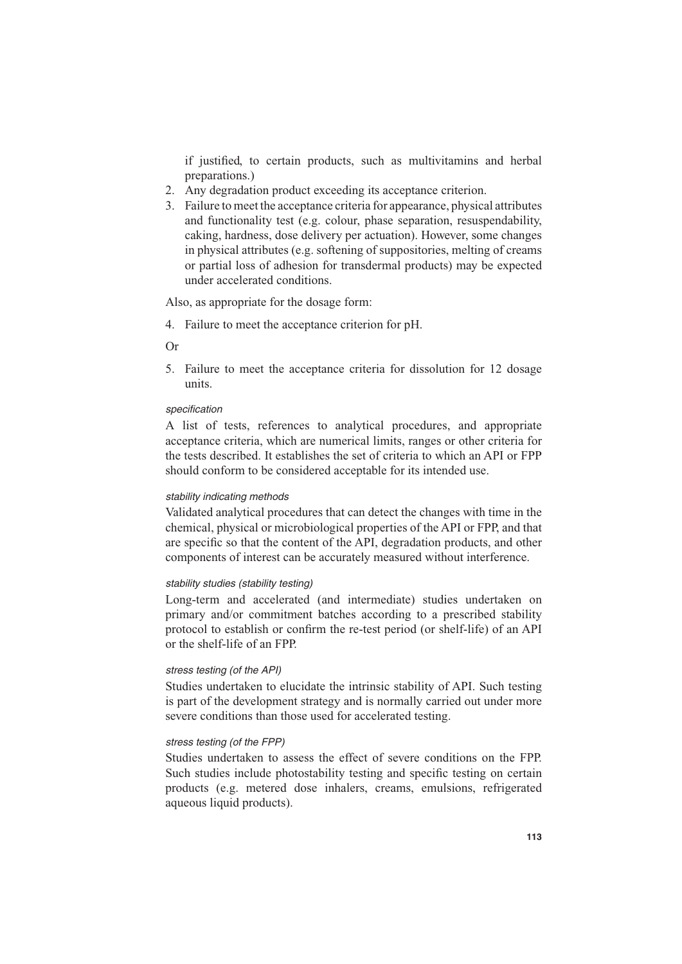if justified, to certain products, such as multivitamins and herbal preparations.)

- 2. Any degradation product exceeding its acceptance criterion.
- 3. Failure to meet the acceptance criteria for appearance, physical attributes and functionality test (e.g. colour, phase separation, resuspendability, caking, hardness, dose delivery per actuation). However, some changes in physical attributes (e.g. softening of suppositories, melting of creams or partial loss of adhesion for transdermal products) may be expected under accelerated conditions.

Also, as appropriate for the dosage form:

4. Failure to meet the acceptance criterion for pH.

Or

5. Failure to meet the acceptance criteria for dissolution for 12 dosage units.

## specification

A list of tests, references to analytical procedures, and appropriate acceptance criteria, which are numerical limits, ranges or other criteria for the tests described. It establishes the set of criteria to which an API or FPP should conform to be considered acceptable for its intended use.

## stability indicating methods

Validated analytical procedures that can detect the changes with time in the chemical, physical or microbiological properties of the API or FPP, and that are specific so that the content of the API, degradation products, and other components of interest can be accurately measured without interference.

## stability studies (stability testing)

Long-term and accelerated (and intermediate) studies undertaken on primary and/or commitment batches according to a prescribed stability protocol to establish or confirm the re-test period (or shelf-life) of an API or the shelf-life of an FPP.

## stress testing (of the API)

Studies undertaken to elucidate the intrinsic stability of API. Such testing is part of the development strategy and is normally carried out under more severe conditions than those used for accelerated testing.

#### stress testing (of the FPP)

Studies undertaken to assess the effect of severe conditions on the FPP. Such studies include photostability testing and specific testing on certain products (e.g. metered dose inhalers, creams, emulsions, refrigerated aqueous liquid products).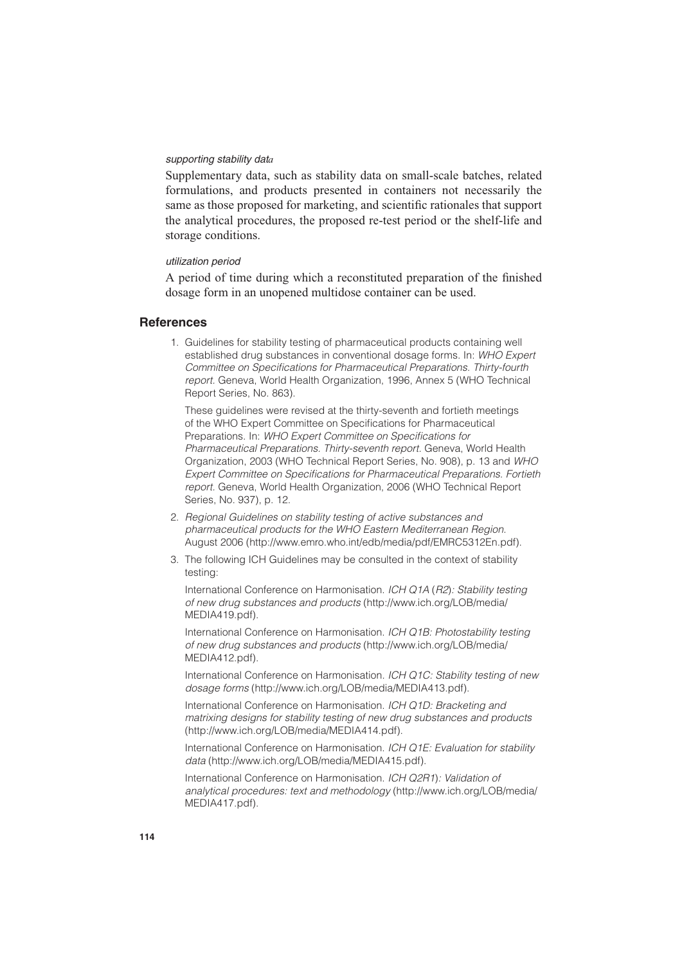#### supporting stability dat*a*

Supplementary data, such as stability data on small-scale batches, related formulations, and products presented in containers not necessarily the same as those proposed for marketing, and scientific rationales that support the analytical procedures, the proposed re-test period or the shelf-life and storage conditions.

#### utilization period

A period of time during which a reconstituted preparation of the finished dosage form in an unopened multidose container can be used.

## **References**

 1. Guidelines for stability testing of pharmaceutical products containing well established drug substances in conventional dosage forms. In: WHO Expert Committee on Specifications for Pharmaceutical Preparations. Thirty-fourth report. Geneva, World Health Organization, 1996, Annex 5 (WHO Technical Report Series, No. 863).

 These guidelines were revised at the thirty-seventh and fortieth meetings of the WHO Expert Committee on Specifications for Pharmaceutical Preparations. In: WHO Expert Committee on Specifications for Pharmaceutical Preparations. Thirty-seventh report. Geneva, World Health Organization, 2003 (WHO Technical Report Series, No. 908), p. 13 and WHO Expert Committee on Specifications for Pharmaceutical Preparations. Fortieth report. Geneva, World Health Organization, 2006 (WHO Technical Report Series, No. 937), p. 12.

- 2. Regional Guidelines on stability testing of active substances and pharmaceutical products for the WHO Eastern Mediterranean Region. August 2006 (http://www.emro.who.int/edb/media/pdf/EMRC5312En.pdf).
- 3. The following ICH Guidelines may be consulted in the context of stability testing:

International Conference on Harmonisation. ICH Q1A (R2): Stability testing of new drug substances and products (http://www.ich.org/LOB/media/ MEDIA419.pdf).

 International Conference on Harmonisation. ICH Q1B: Photostability testing of new drug substances and products (http://www.ich.org/LOB/media/ MEDIA412.pdf).

 International Conference on Harmonisation. ICH Q1C: Stability testing of new dosage forms (http://www.ich.org/LOB/media/MEDIA413.pdf).

 International Conference on Harmonisation. ICH Q1D: Bracketing and matrixing designs for stability testing of new drug substances and products (http://www.ich.org/LOB/media/MEDIA414.pdf).

International Conference on Harmonisation. ICH Q1E: Evaluation for stability data (http://www.ich.org/LOB/media/MEDIA415.pdf).

 International Conference on Harmonisation. ICH Q2R1): Validation of analytical procedures: text and methodology (http://www.ich.org/LOB/media/ MEDIA417.pdf).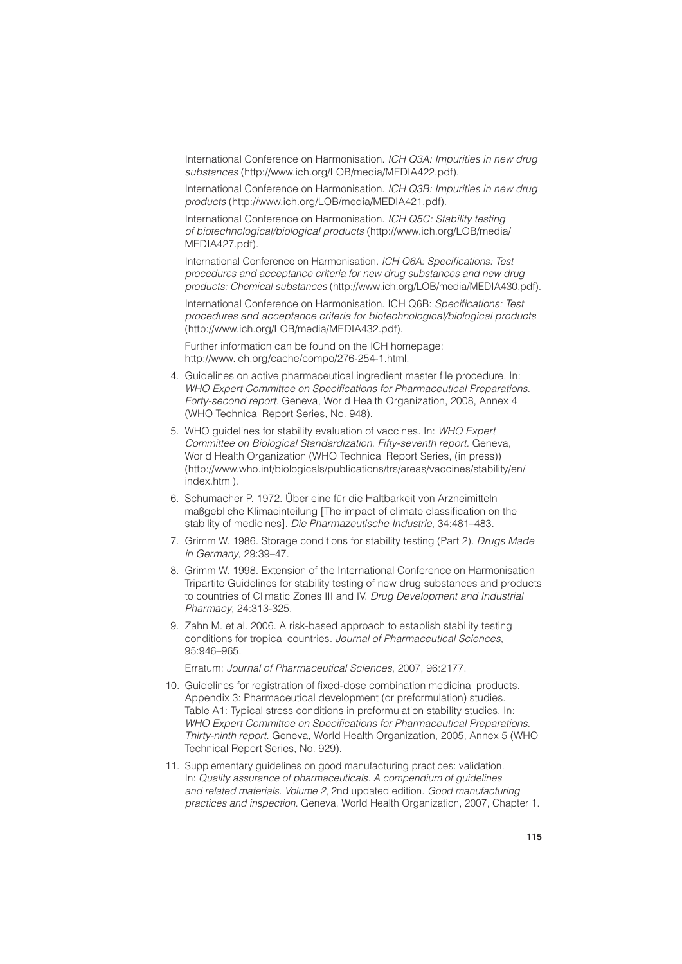International Conference on Harmonisation. ICH Q3A: Impurities in new drug substances (http://www.ich.org/LOB/media/MEDIA422.pdf).

 International Conference on Harmonisation. ICH Q3B: Impurities in new drug products (http://www.ich.org/LOB/media/MEDIA421.pdf).

 International Conference on Harmonisation. ICH Q5C: Stability testing of biotechnological/biological products (http://www.ich.org/LOB/media/ MEDIA427.pdf).

International Conference on Harmonisation. ICH Q6A: Specifications: Test procedures and acceptance criteria for new drug substances and new drug products: Chemical substances (http://www.ich.org/LOB/media/MEDIA430.pdf).

International Conference on Harmonisation. ICH Q6B: Specifications: Test procedures and acceptance criteria for biotechnological/biological products (http://www.ich.org/LOB/media/MEDIA432.pdf).

 Further information can be found on the ICH homepage: http://www.ich.org/cache/compo/276-254-1.html.

- 4. Guidelines on active pharmaceutical ingredient master file procedure. In: WHO Expert Committee on Specifications for Pharmaceutical Preparations. Forty-second report. Geneva, World Health Organization, 2008, Annex 4 (WHO Technical Report Series, No. 948).
- 5. WHO guidelines for stability evaluation of vaccines. In: WHO Expert Committee on Biological Standardization. Fifty-seventh report. Geneva, World Health Organization (WHO Technical Report Series, (in press)) (http://www.who.int/biologicals/publications/trs/areas/vaccines/stability/en/ index.html).
- 6. Schumacher P. 1972. Über eine für die Haltbarkeit von Arzneimitteln maßgebliche Klimaeinteilung [The impact of climate classification on the stability of medicines]. Die Pharmazeutische Industrie, 34:481–483.
- 7. Grimm W. 1986. Storage conditions for stability testing (Part 2). Drugs Made in Germany, 29:39–47.
- 8. Grimm W. 1998. Extension of the International Conference on Harmonisation Tripartite Guidelines for stability testing of new drug substances and products to countries of Climatic Zones III and IV. Drug Development and Industrial Pharmacy, 24:313-325.
- 9. Zahn M. et al. 2006. A risk-based approach to establish stability testing conditions for tropical countries. Journal of Pharmaceutical Sciences, 95:946–965.

Erratum: Journal of Pharmaceutical Sciences, 2007, 96:2177.

- 10. Guidelines for registration of fixed-dose combination medicinal products. Appendix 3: Pharmaceutical development (or preformulation) studies. Table A1: Typical stress conditions in preformulation stability studies. In: WHO Expert Committee on Specifications for Pharmaceutical Preparations. Thirty-ninth report. Geneva, World Health Organization, 2005, Annex 5 (WHO Technical Report Series, No. 929).
- 11. Supplementary guidelines on good manufacturing practices: validation. In: Quality assurance of pharmaceuticals. A compendium of guidelines and related materials. Volume 2, 2nd updated edition. Good manufacturing practices and inspection. Geneva, World Health Organization, 2007, Chapter 1.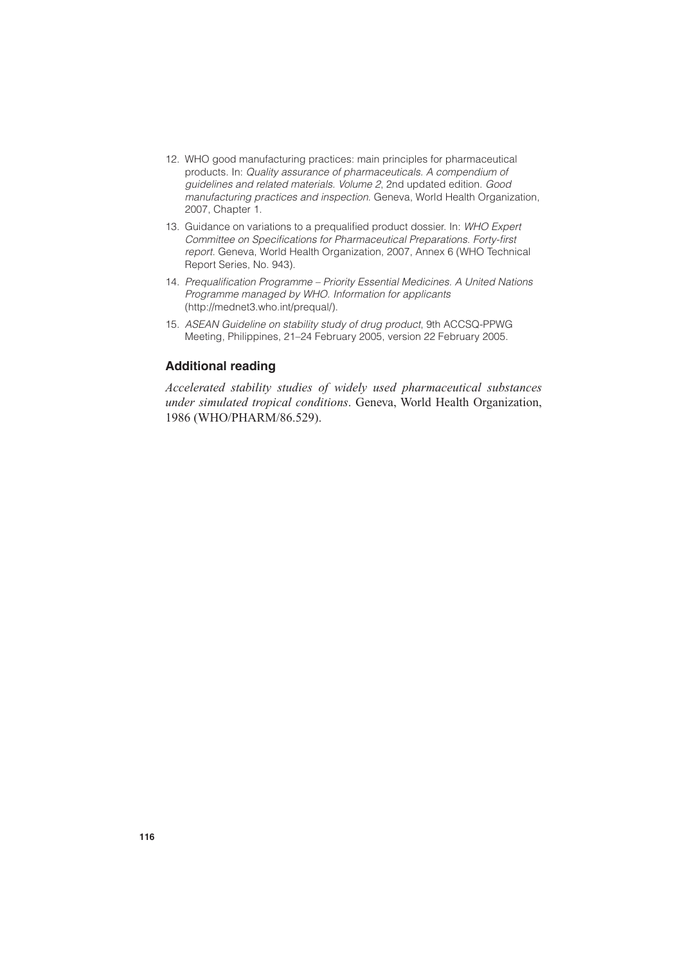- 12. WHO good manufacturing practices: main principles for pharmaceutical products. In: Quality assurance of pharmaceuticals. A compendium of guidelines and related materials. Volume 2, 2nd updated edition. Good manufacturing practices and inspection. Geneva, World Health Organization, 2007, Chapter 1.
- 13. Guidance on variations to a prequalified product dossier. In: WHO Expert Committee on Specifications for Pharmaceutical Preparations. Forty-first report. Geneva, World Health Organization, 2007, Annex 6 (WHO Technical Report Series, No. 943).
- 14. Prequalification Programme Priority Essential Medicines. A United Nations Programme managed by WHO. Information for applicants (http://mednet3.who.int/prequal/).
- 15. ASEAN Guideline on stability study of drug product, 9th ACCSQ-PPWG Meeting, Philippines, 21–24 February 2005, version 22 February 2005.

## **Additional reading**

*Accelerated stability studies of widely used pharmaceutical substances under simulated tropical conditions*. Geneva, World Health Organization, 1986 (WHO/PHARM/86.529).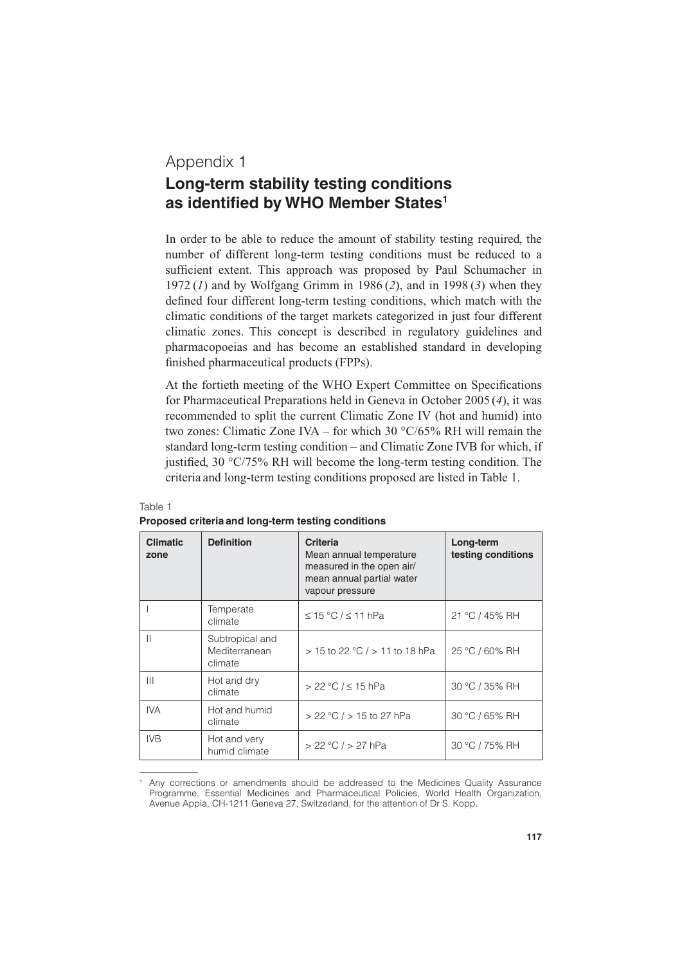## Appendix 1

# **Long-term stability testing conditions**  as identified by WHO Member States<sup>1</sup>

In order to be able to reduce the amount of stability testing required, the number of different long-term testing conditions must be reduced to a sufficient extent. This approach was proposed by Paul Schumacher in 1972 (*1*) and by Wolfgang Grimm in 1986 (*2*), and in 1998 (*3*) when they defined four different long-term testing conditions, which match with the climatic conditions of the target markets categorized in just four different climatic zones. This concept is described in regulatory guidelines and pharmacopoeias and has become an established standard in developing finished pharmaceutical products (FPPs).

At the fortieth meeting of the WHO Expert Committee on Specifications for Pharmaceutical Preparations held in Geneva in October 2005 (*4*), it was recommended to split the current Climatic Zone IV (hot and humid) into two zones: Climatic Zone IVA – for which 30 °C/65% RH will remain the standard long-term testing condition – and Climatic Zone IVB for which, if justified, 30  $\degree$ C/75% RH will become the long-term testing condition. The criteria and long-term testing conditions proposed are listed in Table 1.

| <u>I TUDOSCU UNICHA ANU IUNGʻICHI ICSINIY CUNUNIUNIS</u> |                                             |                                                                                                                         |                                 |
|----------------------------------------------------------|---------------------------------------------|-------------------------------------------------------------------------------------------------------------------------|---------------------------------|
| <b>Climatic</b><br>zone                                  | <b>Definition</b>                           | <b>Criteria</b><br>Mean annual temperature<br>measured in the open air/<br>mean annual partial water<br>vapour pressure | Long-term<br>testing conditions |
|                                                          | Temperate<br>climate                        | ≤ 15 °C / ≤ 11 hPa                                                                                                      | 21 °C / 45% RH                  |
| $\mathbf{  }$                                            | Subtropical and<br>Mediterranean<br>climate | > 15 to 22 °C / > 11 to 18 hPa                                                                                          | 25 °C / 60% RH                  |
| $\mathbf{III}$                                           | Hot and dry<br>climate                      | > 22 °C / ≤ 15 hPa                                                                                                      | 30 °C / 35% RH                  |
| <b>IVA</b>                                               | Hot and humid<br>climate                    | $>$ 22 °C / $>$ 15 to 27 hPa                                                                                            | 30 °C / 65% RH                  |
| <b>IVB</b>                                               | Hot and very<br>humid climate               | $>$ 22 °C / $>$ 27 hPa                                                                                                  | 30 °C / 75% RH                  |

#### Table 1 **Proposed criteria and long-term testing conditions**

<sup>1</sup> Any corrections or amendments should be addressed to the Medicines Quality Assurance Programme, Essential Medicines and Pharmaceutical Policies, World Health Organization, Avenue Appia, CH-1211 Geneva 27, Switzerland, for the attention of Dr S. Kopp.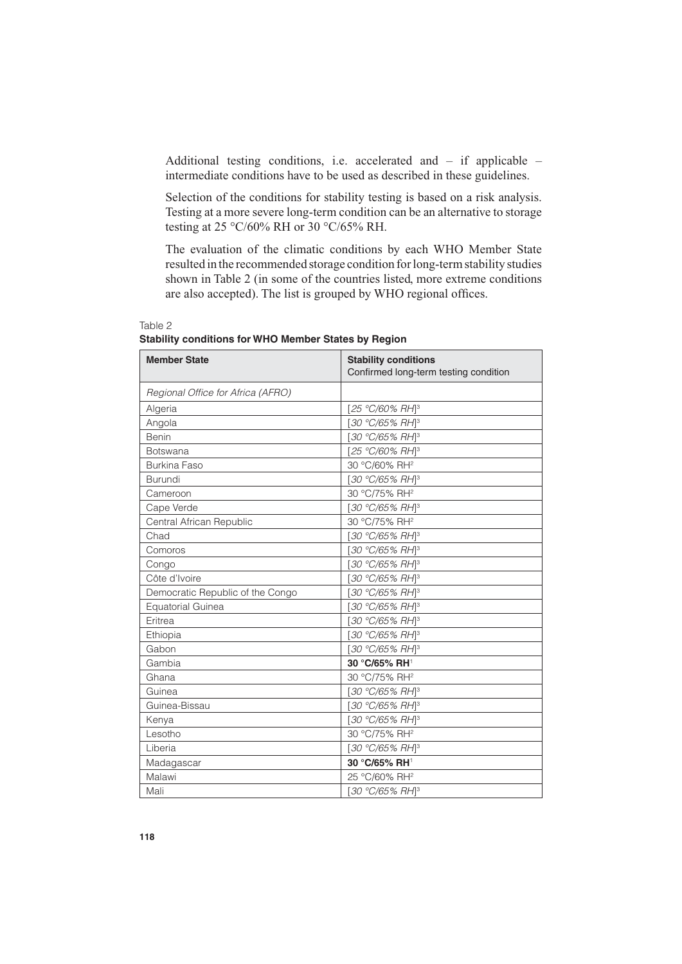Additional testing conditions, i.e. accelerated and – if applicable – intermediate conditions have to be used as described in these guidelines.

Selection of the conditions for stability testing is based on a risk analysis. Testing at a more severe long-term condition can be an alternative to storage testing at 25 °C/60% RH or 30 °C/65% RH.

The evaluation of the climatic conditions by each WHO Member State resulted in the recommended storage condition for long-term stability studies shown in Table 2 (in some of the countries listed, more extreme conditions are also accepted). The list is grouped by WHO regional offices.

| <b>Member State</b>               | <b>Stability conditions</b><br>Confirmed long-term testing condition |
|-----------------------------------|----------------------------------------------------------------------|
| Regional Office for Africa (AFRO) |                                                                      |
| Algeria                           | [25 °C/60% RH] <sup>3</sup>                                          |
| Angola                            | [30 °C/65% RH] <sup>3</sup>                                          |
| <b>Benin</b>                      | [30 °C/65% RH] <sup>3</sup>                                          |
| <b>Botswana</b>                   | [25 °C/60% RH] <sup>3</sup>                                          |
| <b>Burkina Faso</b>               | 30 °C/60% RH <sup>2</sup>                                            |
| <b>Burundi</b>                    | [30 °C/65% RH] <sup>3</sup>                                          |
| Cameroon                          | 30 °C/75% RH <sup>2</sup>                                            |
| Cape Verde                        | [30 °C/65% RH] <sup>3</sup>                                          |
| Central African Republic          | 30 °C/75% RH <sup>2</sup>                                            |
| Chad                              | [30 °C/65% RH] <sup>3</sup>                                          |
| Comoros                           | [30 °C/65% RH] <sup>3</sup>                                          |
| Congo                             | [30 °C/65% RH] <sup>з</sup>                                          |
| Côte d'Ivoire                     | [30 °C/65% RH] <sup>3</sup>                                          |
| Democratic Republic of the Congo  | [30 °C/65% RH] <sup>3</sup>                                          |
| <b>Equatorial Guinea</b>          | [30 °C/65% RH] <sup>3</sup>                                          |
| Eritrea                           | [30 °C/65% RH] <sup>3</sup>                                          |
| Ethiopia                          | [30 °C/65% RH] <sup>з</sup>                                          |
| Gabon                             | [30 °C/65% RH] <sup>3</sup>                                          |
| Gambia                            | 30 °C/65% RH1                                                        |
| Ghana                             | 30 °C/75% RH <sup>2</sup>                                            |
| Guinea                            | [30 °C/65% RH] <sup>3</sup>                                          |
| Guinea-Bissau                     | [30 °C/65% RH] <sup>3</sup>                                          |
| Kenya                             | [30 °C/65% RH] <sup>3</sup>                                          |
| Lesotho                           | 30 °C/75% RH <sup>2</sup>                                            |
| Liberia                           | [30 °C/65% RH] <sup>з</sup>                                          |
| Madagascar                        | 30 °C/65% RH1                                                        |
| Malawi                            | 25 °C/60% RH <sup>2</sup>                                            |
| Mali                              | [30 °C/65% RH] <sup>3</sup>                                          |

#### Table 2

**Stability conditions for WHO Member States by Region**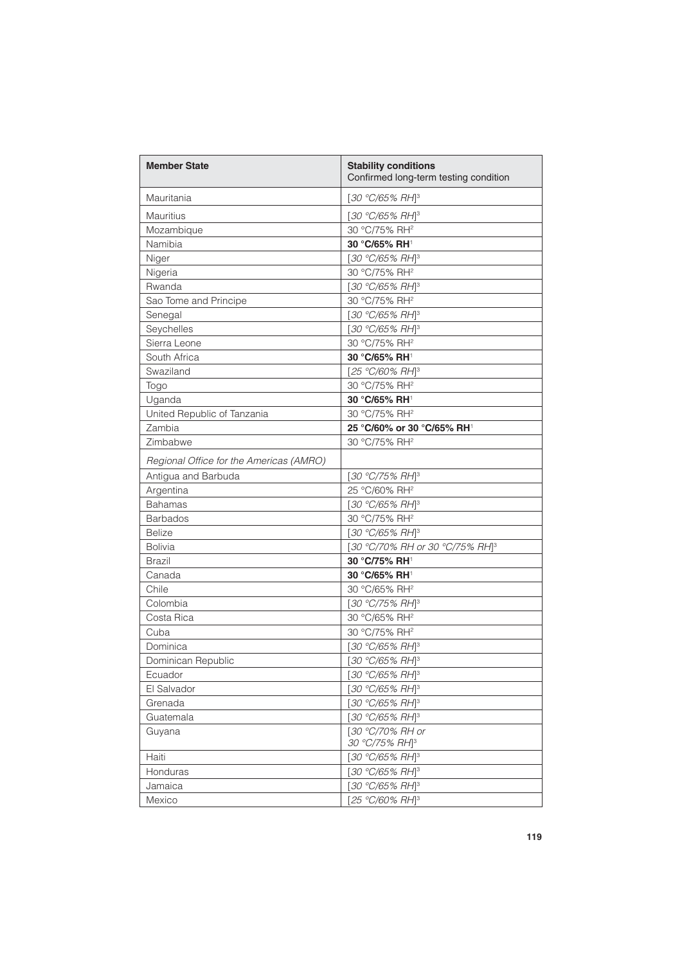| <b>Member State</b>                     | <b>Stability conditions</b><br>Confirmed long-term testing condition |
|-----------------------------------------|----------------------------------------------------------------------|
| Mauritania                              | [30 °C/65% RH] <sup>3</sup>                                          |
| <b>Mauritius</b>                        | [30 °С/65% RH1 <sup>3</sup>                                          |
| Mozambique                              | 30 °C/75% RH <sup>2</sup>                                            |
| Namibia                                 | 30 °C/65% RH1                                                        |
| Niger                                   | $[30 °C/65 \% RH]$ <sup>3</sup>                                      |
| Nigeria                                 | 30 °C/75% RH <sup>2</sup>                                            |
| Rwanda                                  | [30 °C/65% RH] <sup>3</sup>                                          |
| Sao Tome and Principe                   | 30 °C/75% RH <sup>2</sup>                                            |
| Senegal                                 | [30 °C/65% RH] <sup>3</sup>                                          |
| Seychelles                              | [30 °C/65% RH] <sup>3</sup>                                          |
| Sierra Leone                            | 30 °C/75% RH <sup>2</sup>                                            |
| South Africa                            | 30 °C/65% RH1                                                        |
| Swaziland                               | [25 °C/60% RH] <sup>3</sup>                                          |
| Togo                                    | 30 °C/75% RH <sup>2</sup>                                            |
| Uganda                                  | 30 °C/65% RH1                                                        |
| United Republic of Tanzania             | 30 °C/75% RH <sup>2</sup>                                            |
| Zambia                                  | 25 °C/60% or 30 °C/65% RH1                                           |
| Zimbabwe                                | 30 °C/75% RH <sup>2</sup>                                            |
| Regional Office for the Americas (AMRO) |                                                                      |
| Antigua and Barbuda                     | [30 °C/75% RH] <sup>3</sup>                                          |
| Argentina                               | 25 °C/60% RH <sup>2</sup>                                            |
| <b>Bahamas</b>                          | $[30 °C/65 \% RH]$ <sup>3</sup>                                      |
| <b>Barbados</b>                         | 30 °C/75% RH <sup>2</sup>                                            |
| <b>Belize</b>                           | [30 °C/65% RH] <sup>3</sup>                                          |
| <b>Bolivia</b>                          | [30 °C/70% RH or 30 °C/75% RH] <sup>3</sup>                          |
| <b>Brazil</b>                           | 30 °C/75% RH1                                                        |
| Canada                                  | 30 °C/65% RH1                                                        |
| Chile                                   | 30 °C/65% RH <sup>2</sup>                                            |
| Colombia                                | [30 °C/75% RH] <sup>3</sup>                                          |
| Costa Rica                              | 30 °C/65% RH <sup>2</sup>                                            |
| Cuba                                    | 30 °C/75% RH <sup>2</sup>                                            |
| Dominica                                | [30 °C/65% RH] <sup>3</sup>                                          |
| Dominican Republic                      | [30 °C/65% RH] <sup>3</sup>                                          |
| Ecuador                                 | [30 °C/65% RH] <sup>3</sup>                                          |
| El Salvador                             | [30 °C/65% RH] <sup>3</sup>                                          |
| Grenada                                 | [30 °C/65% RH] <sup>3</sup>                                          |
| Guatemala                               | [30 °C/65% RH] <sup>3</sup>                                          |
| Guyana                                  | [30 °C/70% RH or<br>30 °C/75% RH] <sup>3</sup>                       |
| Haiti                                   | [30 °C/65% RH] <sup>3</sup>                                          |
| Honduras                                | [30 °C/65% RH] <sup>3</sup>                                          |
| Jamaica                                 | [30 °C/65% RH] <sup>3</sup>                                          |
| Mexico                                  | [25 °C/60% RH] <sup>з</sup>                                          |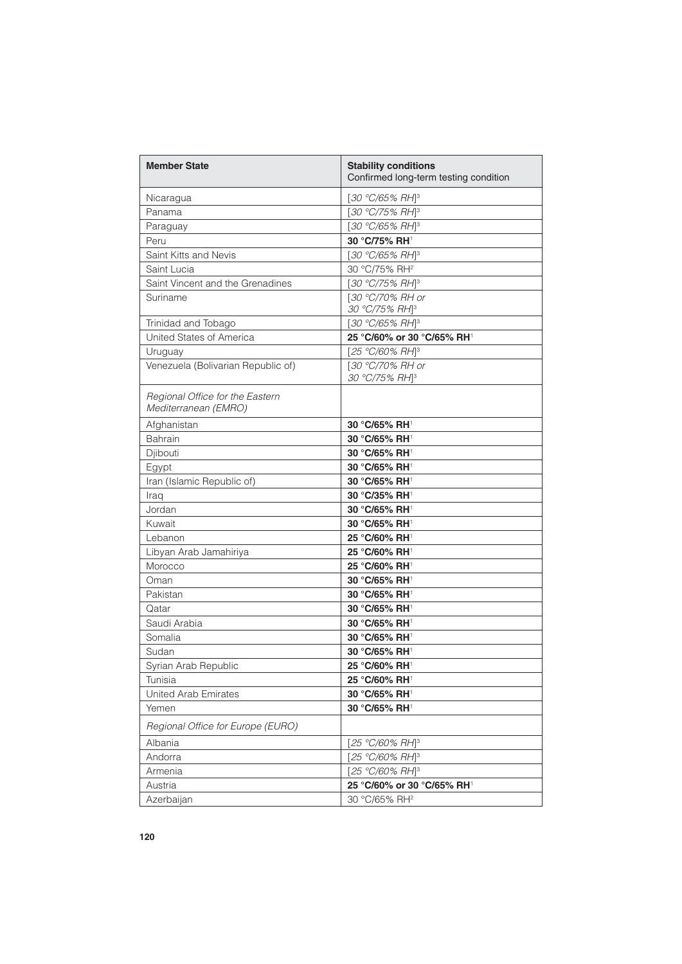| <b>Member State</b>                                     | <b>Stability conditions</b><br>Confirmed long-term testing condition |  |
|---------------------------------------------------------|----------------------------------------------------------------------|--|
| Nicaragua                                               | [30 °C/65% RH] <sup>3</sup>                                          |  |
| Panama                                                  | [30 °C/75% RH] <sup>3</sup>                                          |  |
| Paraguay                                                | [30 °C/65% RH] <sup>3</sup>                                          |  |
| Peru                                                    | 30 °C/75% RH1                                                        |  |
| Saint Kitts and Nevis                                   | [30 °C/65% RH] <sup>3</sup>                                          |  |
| Saint Lucia                                             | 30 °C/75% RH <sup>2</sup>                                            |  |
| Saint Vincent and the Grenadines                        | [30 °C/75% RH] <sup>3</sup>                                          |  |
| Suriname                                                | [30 °C/70% RH or                                                     |  |
|                                                         | 30 °C/75% RH] <sup>3</sup>                                           |  |
| Trinidad and Tobago                                     | [30 °C/65% RH] <sup>3</sup>                                          |  |
| United States of America                                | 25 °C/60% or 30 °C/65% RH1                                           |  |
| Uruguay                                                 | [25 °C/60% RH] <sup>3</sup>                                          |  |
| Venezuela (Bolivarian Republic of)                      | [30 °C/70% RH or                                                     |  |
|                                                         | 30 °C/75% RH] <sup>3</sup>                                           |  |
| Regional Office for the Eastern<br>Mediterranean (EMRO) |                                                                      |  |
| Afghanistan                                             | 30 °C/65% RH1                                                        |  |
| <b>Bahrain</b>                                          | 30 °C/65% RH1                                                        |  |
| Djibouti                                                | 30 °C/65% RH1                                                        |  |
| Egypt                                                   | 30 °C/65% RH1                                                        |  |
| Iran (Islamic Republic of)                              | 30 °C/65% RH1                                                        |  |
| Iraq                                                    | 30 °C/35% RH1                                                        |  |
| Jordan                                                  | 30 °C/65% RH1                                                        |  |
| Kuwait                                                  | 30 °C/65% RH1                                                        |  |
| Lebanon                                                 | 25 °C/60% RH1                                                        |  |
| Libyan Arab Jamahiriya                                  | 25 °C/60% RH1                                                        |  |
| Morocco                                                 | 25 °C/60% RH1                                                        |  |
| Oman                                                    | 30 °C/65% RH1                                                        |  |
| Pakistan                                                | 30 °C/65% RH1                                                        |  |
| Qatar                                                   | 30 °C/65% RH1                                                        |  |
| Saudi Arabia                                            | 30 °C/65% RH1                                                        |  |
| Somalia                                                 | 30 °C/65% RH1                                                        |  |
| Sudan                                                   | 30 °C/65% RH1                                                        |  |
| Syrian Arab Republic                                    | 25 °C/60% RH1                                                        |  |
| Tunisia                                                 | 25 °C/60% RH1                                                        |  |
| United Arab Emirates                                    | 30 °C/65% RH1                                                        |  |
| Yemen                                                   | 30 °C/65% RH1                                                        |  |
| Regional Office for Europe (EURO)                       |                                                                      |  |
| Albania                                                 | $[25 °C/60 \% RH]$ <sup>3</sup>                                      |  |
| Andorra                                                 | [25 °C/60% RH] <sup>3</sup>                                          |  |
| Armenia                                                 | [25 °C/60% RH] <sup>3</sup>                                          |  |
| Austria                                                 | 25 °C/60% or 30 °C/65% RH1                                           |  |
| Azerbaijan                                              | 30 °C/65% RH <sup>2</sup>                                            |  |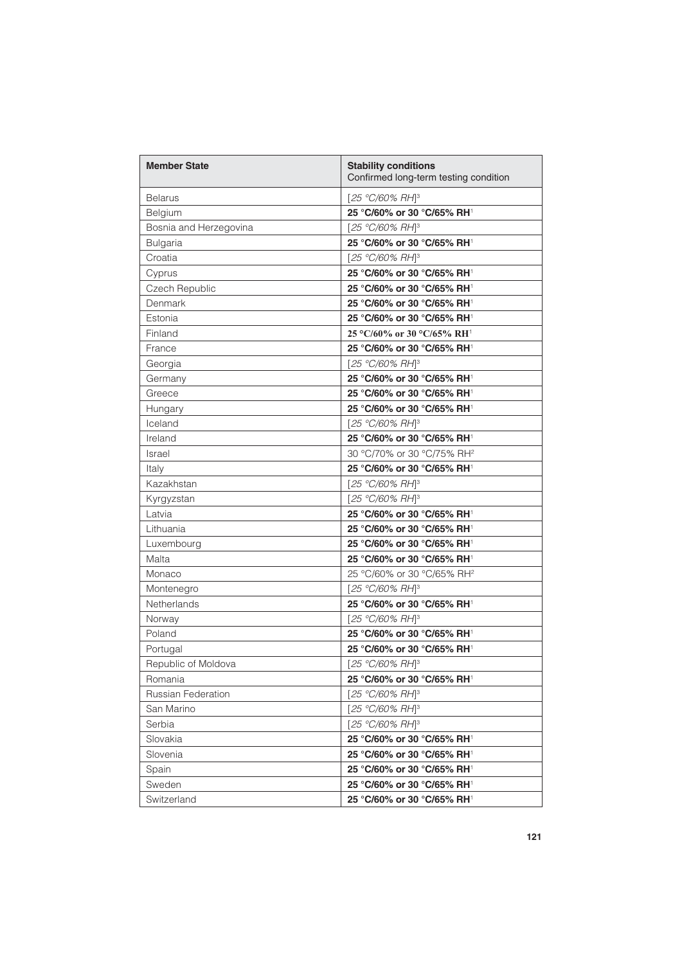| <b>Member State</b>       | <b>Stability conditions</b><br>Confirmed long-term testing condition |
|---------------------------|----------------------------------------------------------------------|
| <b>Belarus</b>            | $[25 °C/60 \% RH]^3$                                                 |
| Belgium                   | 25 °C/60% or 30 °C/65% RH1                                           |
| Bosnia and Herzegovina    | [25 °C/60% RH] <sup>3</sup>                                          |
| <b>Bulgaria</b>           | 25 °C/60% or 30 °C/65% RH1                                           |
| Croatia                   | $[25 °C/60 % RH]$ <sup>3</sup>                                       |
| Cyprus                    | 25 °C/60% or 30 °C/65% RH1                                           |
| Czech Republic            | 25 °C/60% or 30 °C/65% RH1                                           |
| Denmark                   | 25 °C/60% or 30 °C/65% RH1                                           |
| Estonia                   | 25 °C/60% or 30 °C/65% RH'                                           |
| Finland                   | 25 °C/60% or 30 °C/65% RH <sup>1</sup>                               |
| France                    | 25 °C/60% or 30 °C/65% RH1                                           |
| Georgia                   | [25 °C/60% RH] <sup>3</sup>                                          |
| Germany                   | 25 °C/60% or 30 °C/65% RH1                                           |
| Greece                    | 25 °C/60% or 30 °C/65% RH1                                           |
| Hungary                   | 25 °C/60% or 30 °C/65% RH1                                           |
| Iceland                   | $[25 °C/60 \% RH]$ <sup>3</sup>                                      |
| Ireland                   | 25 °C/60% or 30 °C/65% RH1                                           |
| Israel                    | 30 °C/70% or 30 °C/75% RH <sup>2</sup>                               |
| Italy                     | 25 °C/60% or 30 °C/65% RH1                                           |
| Kazakhstan                | [25 °C/60% RH] <sup>3</sup>                                          |
| Kyrgyzstan                | [25 °C/60% RH] <sup>3</sup>                                          |
| Latvia                    | 25 °C/60% or 30 °C/65% RH1                                           |
| Lithuania                 | 25 °C/60% or 30 °C/65% RH1                                           |
| Luxembourg                | 25 °C/60% or 30 °C/65% RH1                                           |
| Malta                     | 25 °C/60% or 30 °C/65% RH1                                           |
| Monaco                    | 25 °C/60% or 30 °C/65% RH <sup>2</sup>                               |
| Montenegro                | $[25 °C/60 \% RH]^3$                                                 |
| Netherlands               | 25 °C/60% or 30 °C/65% RH1                                           |
| Norway                    | [25 °C/60% RH] <sup>3</sup>                                          |
| Poland                    | 25 °C/60% or 30 °C/65% RH1                                           |
| Portugal                  | 25 °C/60% or 30 °C/65% RH1                                           |
| Republic of Moldova       | [25 °C/60% RH] <sup>3</sup>                                          |
| Romania                   | 25 °C/60% or 30 °C/65% RH1                                           |
| <b>Russian Federation</b> | [25 °C/60% RH] <sup>3</sup>                                          |
| San Marino                | [25 °C/60% RH] <sup>3</sup>                                          |
| Serbia                    | $[25 °C/60 \% RH]^3$                                                 |
| Slovakia                  | 25 °C/60% or 30 °C/65% RH1                                           |
| Slovenia                  | 25 °C/60% or 30 °C/65% RH1                                           |
| Spain                     | 25 °C/60% or 30 °C/65% RH1                                           |
| Sweden                    | 25 °C/60% or 30 °C/65% RH <sup>1</sup>                               |
| Switzerland               | 25 °C/60% or 30 °C/65% RH1                                           |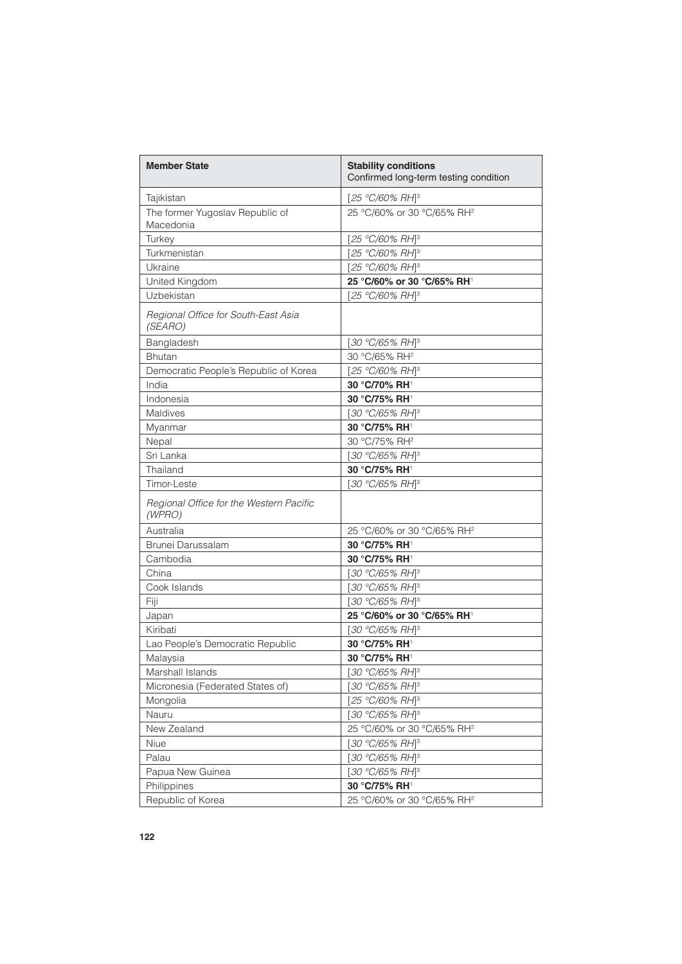| <b>Member State</b>                               | <b>Stability conditions</b><br>Confirmed long-term testing condition |  |
|---------------------------------------------------|----------------------------------------------------------------------|--|
| Tajikistan                                        | $[25 °C/60 \% RH]^3$                                                 |  |
| The former Yugoslav Republic of<br>Macedonia      | 25 °C/60% or 30 °C/65% RH <sup>2</sup>                               |  |
| Turkey                                            | $[25 °C/60 \% RH]$ <sup>3</sup>                                      |  |
| Turkmenistan                                      | [25 °C/60% RH] <sup>3</sup>                                          |  |
| Ukraine                                           | [25 °C/60% RH] <sup>3</sup>                                          |  |
| United Kingdom                                    | 25 °C/60% or 30 °C/65% RH1                                           |  |
| Uzbekistan                                        | [25 °C/60% RH] <sup>3</sup>                                          |  |
| Regional Office for South-East Asia<br>(SEARO)    |                                                                      |  |
| Bangladesh                                        | [30 °C/65% RH] <sup>3</sup>                                          |  |
| <b>Bhutan</b>                                     | 30 °C/65% RH <sup>2</sup>                                            |  |
| Democratic People's Republic of Korea             | [25 °C/60% RH] <sup>3</sup>                                          |  |
| India                                             | 30 °C/70% RH1                                                        |  |
| Indonesia                                         | 30 °C/75% RH1                                                        |  |
| Maldives                                          | $[30 °C/65 \% RH]$ <sup>3</sup>                                      |  |
| Myanmar                                           | 30 °C/75% RH1                                                        |  |
| Nepal                                             | 30 °C/75% RH <sup>2</sup>                                            |  |
| Sri Lanka                                         | [30 °C/65% RH] <sup>3</sup>                                          |  |
| Thailand                                          | 30 °C/75% RH1                                                        |  |
| Timor-Leste                                       | [30 °C/65% RH] <sup>3</sup>                                          |  |
| Regional Office for the Western Pacific<br>(WPRO) |                                                                      |  |
| Australia                                         | 25 °C/60% or 30 °C/65% RH <sup>2</sup>                               |  |
| Brunei Darussalam                                 | 30 °C/75% RH1                                                        |  |
| Cambodia                                          | 30 °C/75% RH1                                                        |  |
| China                                             | [30 °C/65% RH] <sup>3</sup>                                          |  |
| Cook Islands                                      | [30 °C/65% RH] <sup>3</sup>                                          |  |
| Fiji                                              | [30 °C/65% RH] <sup>3</sup>                                          |  |
| Japan                                             | 25 °C/60% or 30 °C/65% RH1                                           |  |
| Kiribati                                          | [30 °C/65% RH] <sup>3</sup>                                          |  |
| Lao People's Democratic Republic                  | 30 °C/75% RH1                                                        |  |
| Malaysia                                          | 30 °C/75% RH1                                                        |  |
| Marshall Islands                                  | [30 °C/65% RH] <sup>3</sup>                                          |  |
| Micronesia (Federated States of)                  | [30 °C/65% RH] <sup>3</sup>                                          |  |
| Mongolia                                          | [25 °C/60% RH] <sup>3</sup>                                          |  |
| Nauru                                             | $[30 °C/65 \% RH]$ <sup>3</sup>                                      |  |
| New Zealand                                       | 25 °C/60% or 30 °C/65% RH <sup>2</sup>                               |  |
| Niue                                              | [30 °C/65% RH] <sup>3</sup>                                          |  |
| Palau                                             | [30 °C/65% RH] <sup>3</sup>                                          |  |
| Papua New Guinea                                  | [30 °C/65% RH] <sup>3</sup>                                          |  |
| Philippines                                       | 30 °C/75% RH1                                                        |  |
| Republic of Korea                                 | 25 °C/60% or 30 °C/65% RH <sup>2</sup>                               |  |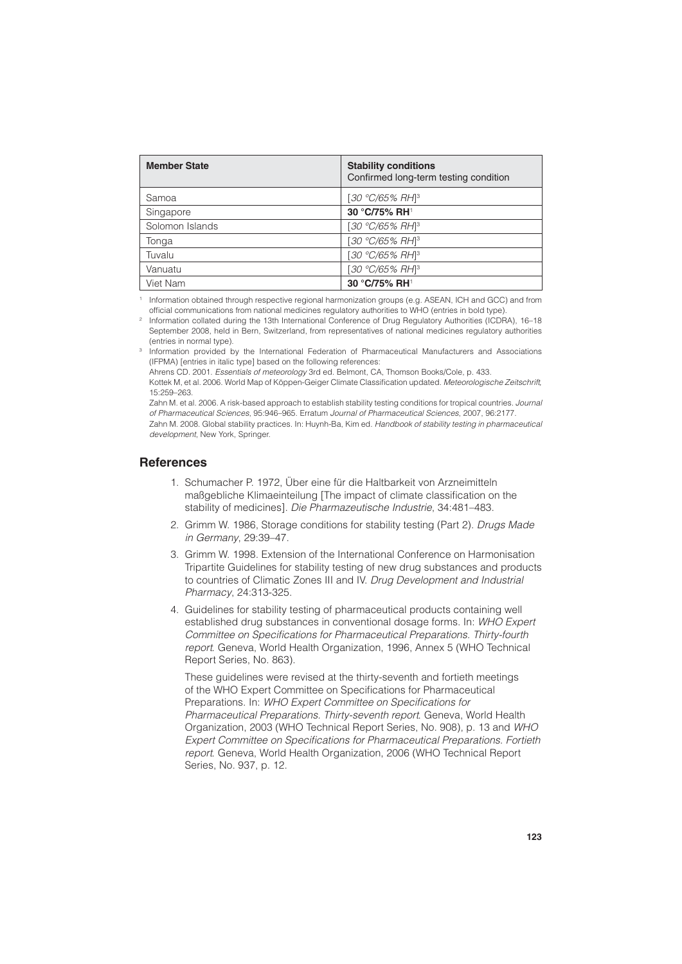| <b>Member State</b> | <b>Stability conditions</b><br>Confirmed long-term testing condition |
|---------------------|----------------------------------------------------------------------|
| Samoa               | [ <i>30 °С/65% RH</i>  3                                             |
| Singapore           | 30 °C/75% RH1                                                        |
| Solomon Islands     | [30 °C/65% RH] <sup>3</sup>                                          |
| Tonga               | [30 °C/65% RH] <sup>3</sup>                                          |
| Tuvalu              | $[30 °C/65 \% RH]$ <sup>3</sup>                                      |
| Vanuatu             | [30 °C/65% RH] <sup>3</sup>                                          |
| Viet Nam            | 30 °C/75% RH1                                                        |

<sup>1</sup> Information obtained through respective regional harmonization groups (e.g. ASEAN, ICH and GCC) and from official communications from national medicines regulatory authorities to WHO (entries in bold type).

<sup>2</sup> Information collated during the 13th International Conference of Drug Regulatory Authorities (ICDRA), 16–18 September 2008, held in Bern, Switzerland, from representatives of national medicines regulatory authorities (entries in normal type).

<sup>3</sup> Information provided by the International Federation of Pharmaceutical Manufacturers and Associations (IFPMA) [entries in italic type] based on the following references:

Ahrens CD. 2001. Essentials of meteorology 3rd ed. Belmont, CA, Thomson Books/Cole, p. 433.

Kottek M, et al. 2006. World Map of Köppen-Geiger Climate Classification updated. Meteorologische Zeitschrift, 15:259–263.

Zahn M. et al. 2006. A risk-based approach to establish stability testing conditions for tropical countries. Journal of Pharmaceutical Sciences, 95:946–965. Erratum Journal of Pharmaceutical Sciences, 2007, 96:2177.

Zahn M. 2008. Global stability practices. In: Huynh-Ba, Kim ed. Handbook of stability testing in pharmaceutical development, New York, Springer.

#### **References**

- 1. Schumacher P. 1972, Über eine für die Haltbarkeit von Arzneimitteln maßgebliche Klimaeinteilung [The impact of climate classification on the stability of medicines]. Die Pharmazeutische Industrie, 34:481–483.
- 2. Grimm W. 1986, Storage conditions for stability testing (Part 2). Drugs Made in Germany, 29:39–47.
- 3. Grimm W. 1998. Extension of the International Conference on Harmonisation Tripartite Guidelines for stability testing of new drug substances and products to countries of Climatic Zones III and IV. Drug Development and Industrial Pharmacy, 24:313-325.
- 4. Guidelines for stability testing of pharmaceutical products containing well established drug substances in conventional dosage forms. In: WHO Expert Committee on Specifications for Pharmaceutical Preparations. Thirty-fourth report*.* Geneva, World Health Organization, 1996, Annex 5 (WHO Technical Report Series, No. 863).

 These guidelines were revised at the thirty-seventh and fortieth meetings of the WHO Expert Committee on Specifications for Pharmaceutical Preparations. In: WHO Expert Committee on Specifications for Pharmaceutical Preparations. Thirty-seventh report*.* Geneva, World Health Organization, 2003 (WHO Technical Report Series, No. 908), p. 13 and WHO Expert Committee on Specifications for Pharmaceutical Preparations. Fortieth report*.* Geneva, World Health Organization, 2006 (WHO Technical Report Series, No. 937, p. 12.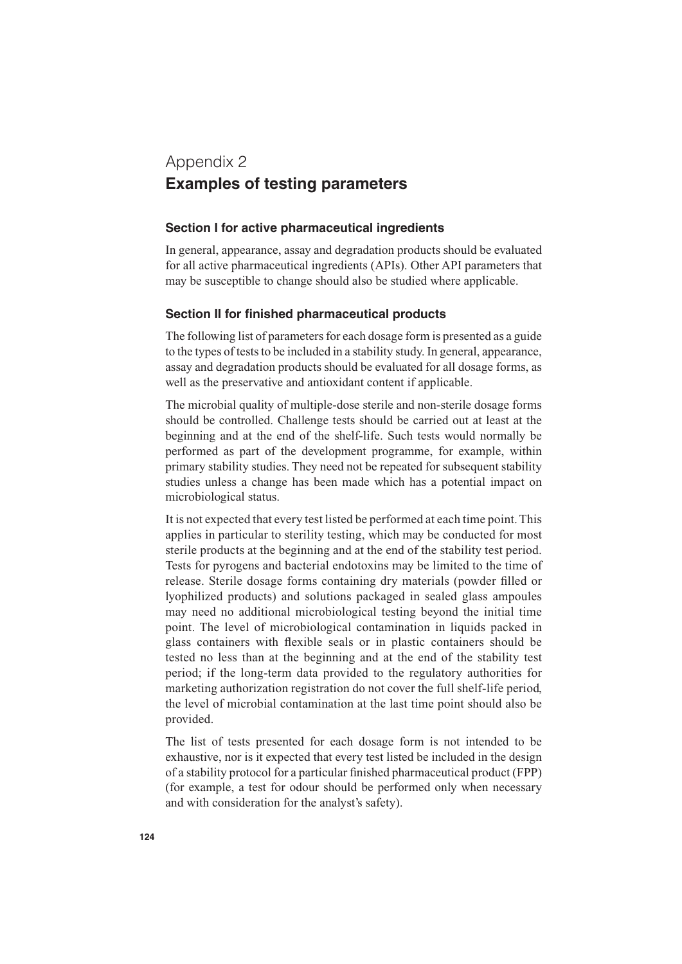# Appendix 2  **Examples of testing parameters**

## **Section I for active pharmaceutical ingredients**

In general, appearance, assay and degradation products should be evaluated for all active pharmaceutical ingredients (APIs). Other API parameters that may be susceptible to change should also be studied where applicable.

## **Section II for finished pharmaceutical products**

The following list of parameters for each dosage form is presented as a guide to the types of tests to be included in a stability study. In general, appearance, assay and degradation products should be evaluated for all dosage forms, as well as the preservative and antioxidant content if applicable.

The microbial quality of multiple-dose sterile and non-sterile dosage forms should be controlled. Challenge tests should be carried out at least at the beginning and at the end of the shelf-life. Such tests would normally be performed as part of the development programme, for example, within primary stability studies. They need not be repeated for subsequent stability studies unless a change has been made which has a potential impact on microbiological status.

It is not expected that every test listed be performed at each time point. This applies in particular to sterility testing, which may be conducted for most sterile products at the beginning and at the end of the stability test period. Tests for pyrogens and bacterial endotoxins may be limited to the time of release. Sterile dosage forms containing dry materials (powder filled or lyophilized products) and solutions packaged in sealed glass ampoules may need no additional microbiological testing beyond the initial time point. The level of microbiological contamination in liquids packed in glass containers with flexible seals or in plastic containers should be tested no less than at the beginning and at the end of the stability test period; if the long-term data provided to the regulatory authorities for marketing authorization registration do not cover the full shelf-life period, the level of microbial contamination at the last time point should also be provided.

The list of tests presented for each dosage form is not intended to be exhaustive, nor is it expected that every test listed be included in the design of a stability protocol for a particular finished pharmaceutical product (FPP) (for example, a test for odour should be performed only when necessary and with consideration for the analyst's safety).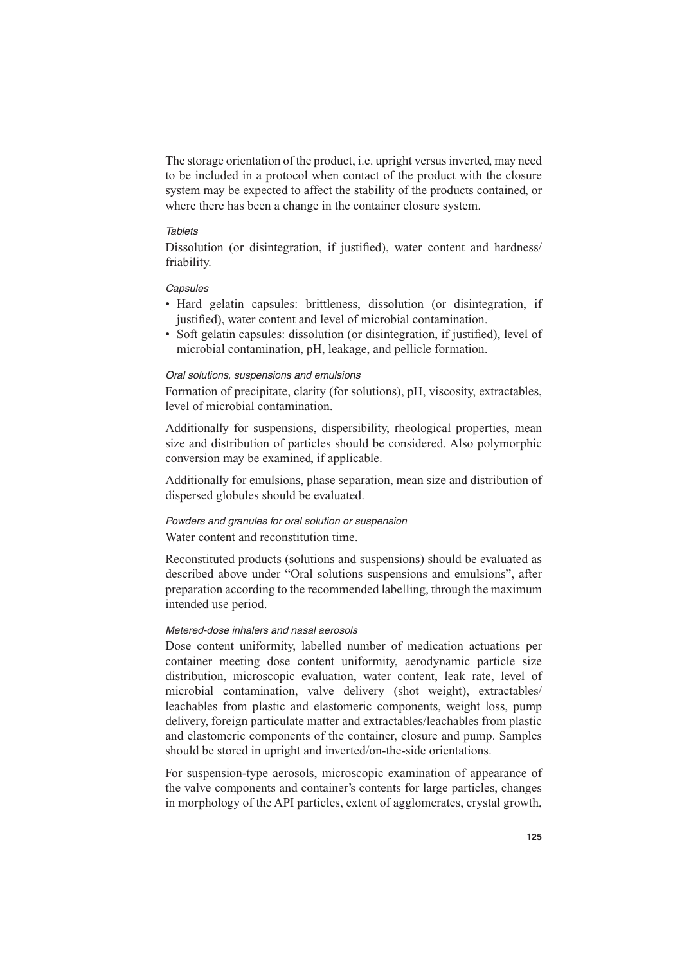The storage orientation of the product, i.e. upright versus inverted, may need to be included in a protocol when contact of the product with the closure system may be expected to affect the stability of the products contained, or where there has been a change in the container closure system.

## **Tablets**

Dissolution (or disintegration, if justified), water content and hardness/ friability.

#### **Capsules**

- Hard gelatin capsules: brittleness, dissolution (or disintegration, if justified), water content and level of microbial contamination.
- Soft gelatin capsules: dissolution (or disintegration, if justified), level of microbial contamination, pH, leakage, and pellicle formation.

#### Oral solutions, suspensions and emulsions

Formation of precipitate, clarity (for solutions), pH, viscosity, extractables, level of microbial contamination.

Additionally for suspensions, dispersibility, rheological properties, mean size and distribution of particles should be considered. Also polymorphic conversion may be examined, if applicable.

Additionally for emulsions, phase separation, mean size and distribution of dispersed globules should be evaluated.

## Powders and granules for oral solution or suspension

Water content and reconstitution time.

Reconstituted products (solutions and suspensions) should be evaluated as described above under "Oral solutions suspensions and emulsions", after preparation according to the recommended labelling, through the maximum intended use period.

#### Metered-dose inhalers and nasal aerosols

Dose content uniformity, labelled number of medication actuations per container meeting dose content uniformity, aerodynamic particle size distribution, microscopic evaluation, water content, leak rate, level of microbial contamination, valve delivery (shot weight), extractables/ leachables from plastic and elastomeric components, weight loss, pump delivery, foreign particulate matter and extractables/leachables from plastic and elastomeric components of the container, closure and pump. Samples should be stored in upright and inverted/on-the-side orientations.

For suspension-type aerosols, microscopic examination of appearance of the valve components and container's contents for large particles, changes in morphology of the API particles, extent of agglomerates, crystal growth,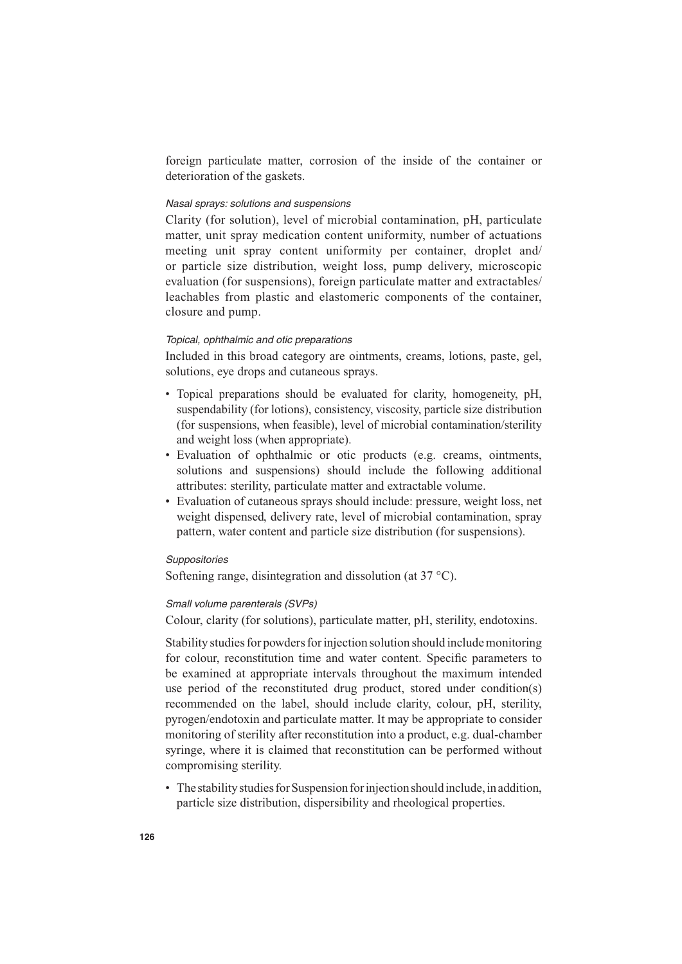foreign particulate matter, corrosion of the inside of the container or deterioration of the gaskets.

### Nasal sprays: solutions and suspensions

Clarity (for solution), level of microbial contamination, pH, particulate matter, unit spray medication content uniformity, number of actuations meeting unit spray content uniformity per container, droplet and/ or particle size distribution, weight loss, pump delivery, microscopic evaluation (for suspensions), foreign particulate matter and extractables/ leachables from plastic and elastomeric components of the container, closure and pump.

#### Topical, ophthalmic and otic preparations

Included in this broad category are ointments, creams, lotions, paste, gel, solutions, eye drops and cutaneous sprays.

- Topical preparations should be evaluated for clarity, homogeneity, pH, suspendability (for lotions), consistency, viscosity, particle size distribution (for suspensions, when feasible), level of microbial contamination/sterility and weight loss (when appropriate).
- Evaluation of ophthalmic or otic products (e.g. creams, ointments, solutions and suspensions) should include the following additional attributes: sterility, particulate matter and extractable volume.
- Evaluation of cutaneous sprays should include: pressure, weight loss, net weight dispensed, delivery rate, level of microbial contamination, spray pattern, water content and particle size distribution (for suspensions).

## **Suppositories**

Softening range, disintegration and dissolution (at 37 °C).

#### Small volume parenterals (SVPs)

Colour, clarity (for solutions), particulate matter, pH, sterility, endotoxins.

Stability studies for powders for injection solution should include monitoring for colour, reconstitution time and water content. Specific parameters to be examined at appropriate intervals throughout the maximum intended use period of the reconstituted drug product, stored under condition(s) recommended on the label, should include clarity, colour, pH, sterility, pyrogen/endotoxin and particulate matter. It may be appropriate to consider monitoring of sterility after reconstitution into a product, e.g. dual-chamber syringe, where it is claimed that reconstitution can be performed without compromising sterility.

• The stability studies for Suspension for injection should include, in addition, particle size distribution, dispersibility and rheological properties.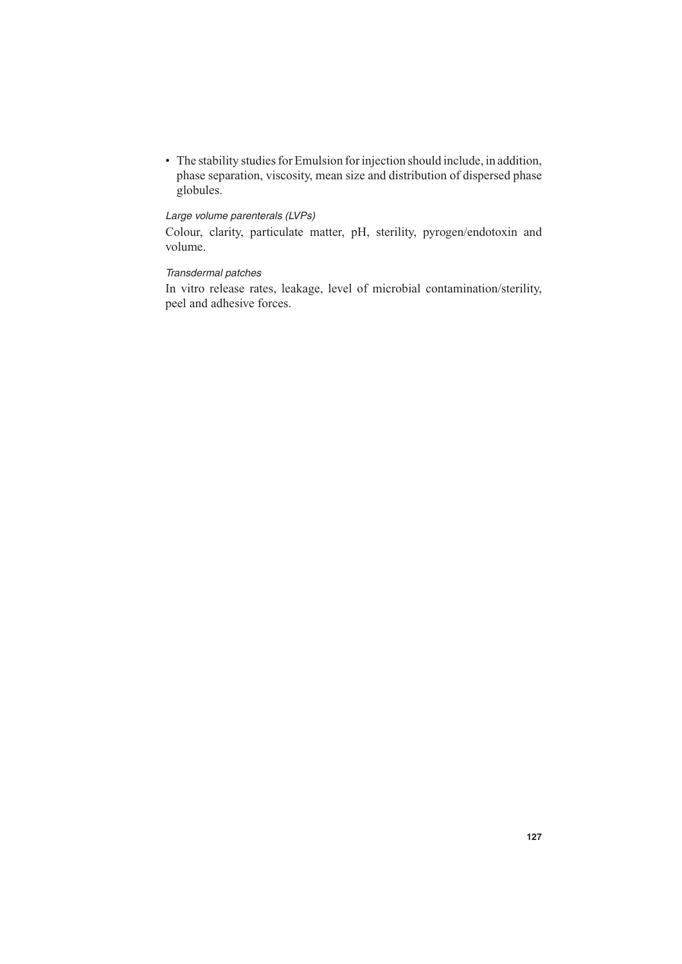• The stability studies for Emulsion for injection should include, in addition, phase separation, viscosity, mean size and distribution of dispersed phase globules.

## Large volume parenterals (LVPs)

Colour, clarity, particulate matter, pH, sterility, pyrogen/endotoxin and volume.

## Transdermal patches

In vitro release rates, leakage, level of microbial contamination/sterility, peel and adhesive forces.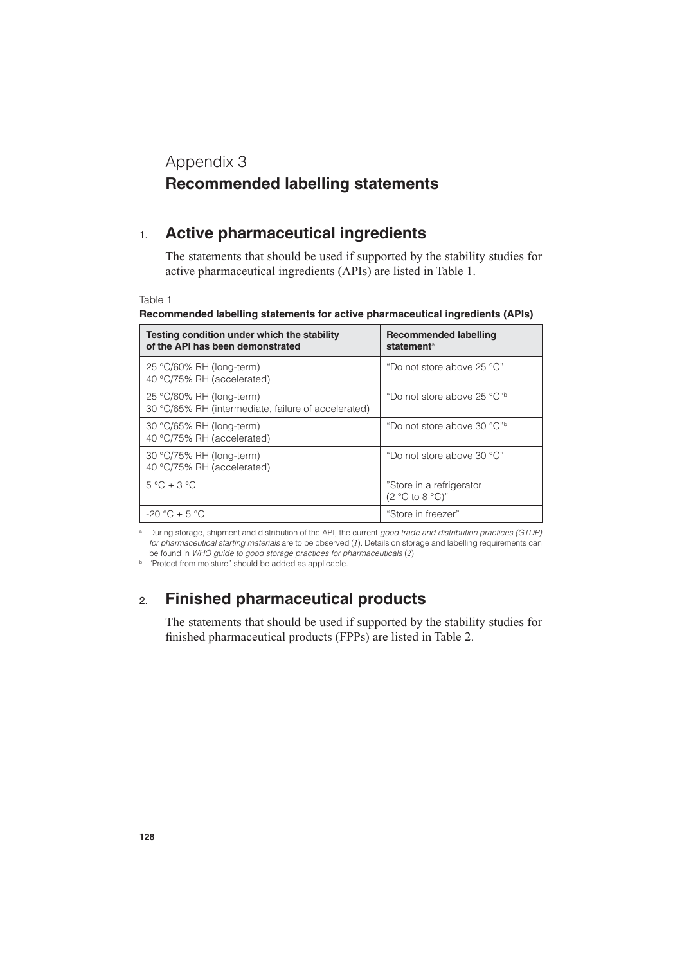# Appendix 3  **Recommended labelling statements**

# 1. **Active pharmaceutical ingredients**

The statements that should be used if supported by the stability studies for active pharmaceutical ingredients (APIs) are listed in Table 1.

Table 1

**Recommended labelling statements for active pharmaceutical ingredients (APIs)**

| Testing condition under which the stability<br>of the API has been demonstrated | Recommended labelling<br>statement <sup>a</sup>  |
|---------------------------------------------------------------------------------|--------------------------------------------------|
| $25 °C/60\% RH$ (long-term)<br>40 °C/75% RH (accelerated)                       | "Do not store above 25 °C"                       |
| 25 °C/60% RH (long-term)<br>30 °C/65% RH (intermediate, failure of accelerated) | "Do not store above 25 °C" <sup>b</sup>          |
| 30 °C/65% RH (long-term)<br>40 °C/75% RH (accelerated)                          | "Do not store above 30 °C" <sup>b</sup>          |
| 30 °C/75% RH (long-term)<br>40 °C/75% RH (accelerated)                          | "Do not store above 30 °C"                       |
| $5^{\circ}$ C + 3 $^{\circ}$ C                                                  | "Store in a refrigerator<br>$(2 °C)$ to $8 °C$ " |
| $-20$ °C $\pm$ 5 °C                                                             | "Store in freezer"                               |

<sup>a</sup> During storage, shipment and distribution of the API, the current good trade and distribution practices (GTDP) for pharmaceutical starting materials are to be observed (*1*). Details on storage and labelling requirements can be found in WHO guide to good storage practices for pharmaceuticals (*2*).

**b** "Protect from moisture" should be added as applicable.

# 2. **Finished pharmaceutical products**

The statements that should be used if supported by the stability studies for finished pharmaceutical products (FPPs) are listed in Table 2.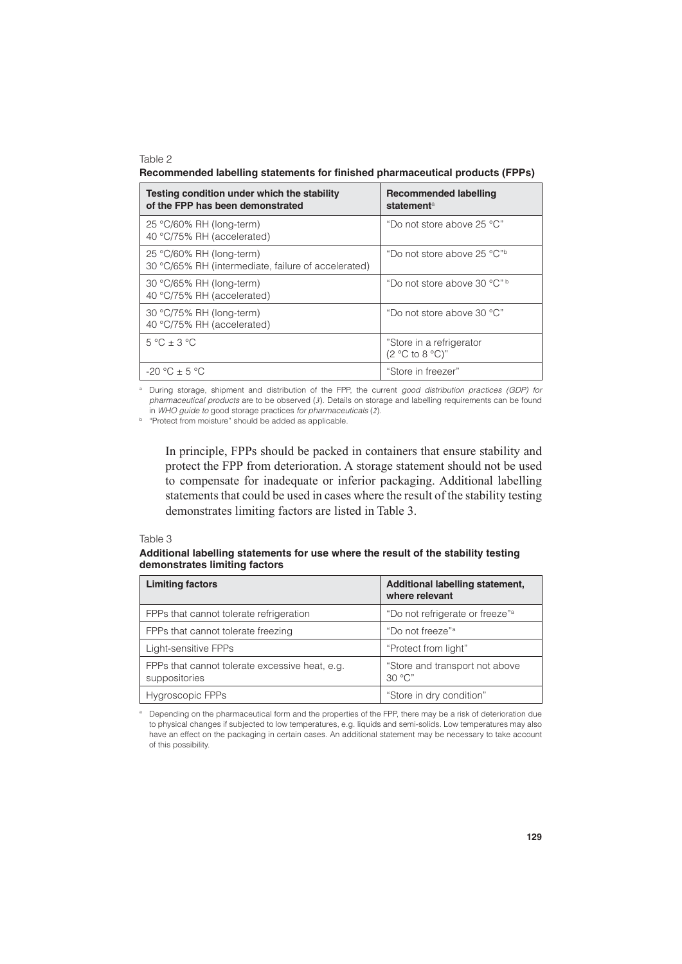Table 2

**Recommended labelling statements for fi nished pharmaceutical products (FPPs)**

| Testing condition under which the stability<br>of the FPP has been demonstrated | <b>Recommended labelling</b><br><b>statement</b> <sup>a</sup> |
|---------------------------------------------------------------------------------|---------------------------------------------------------------|
| 25 °C/60% RH (long-term)<br>40 °C/75% RH (accelerated)                          | "Do not store above 25 °C"                                    |
| 25 °C/60% RH (long-term)<br>30 °C/65% RH (intermediate, failure of accelerated) | "Do not store above 25 °C" <sup>b</sup>                       |
| 30 °C/65% RH (long-term)<br>40 °C/75% RH (accelerated)                          | "Do not store above 30 °C" b                                  |
| 30 °C/75% RH (long-term)<br>40 °C/75% RH (accelerated)                          | "Do not store above 30 °C"                                    |
| $5^{\circ}$ C $\pm$ 3 $^{\circ}$ C                                              | "Store in a refrigerator<br>$(2 °C)$ to $8 °C$ "              |
| $-20$ °C $\pm$ 5 °C                                                             | "Store in freezer"                                            |

<sup>a</sup> During storage, shipment and distribution of the FPP, the current good distribution practices (GDP) for pharmaceutical products are to be observed (*3*). Details on storage and labelling requirements can be found in WHO guide to good storage practices for pharmaceuticals (*2*).

**b** "Protect from moisture" should be added as applicable.

In principle, FPPs should be packed in containers that ensure stability and protect the FPP from deterioration. A storage statement should not be used to compensate for inadequate or inferior packaging. Additional labelling statements that could be used in cases where the result of the stability testing demonstrates limiting factors are listed in Table 3.

#### Table 3

#### **Additional labelling statements for use where the result of the stability testing demonstrates limiting factors**

| <b>Limiting factors</b>                                         | Additional labelling statement,<br>where relevant |
|-----------------------------------------------------------------|---------------------------------------------------|
| FPPs that cannot tolerate refrigeration                         | "Do not refrigerate or freeze" <sup>a</sup>       |
| FPPs that cannot tolerate freezing                              | "Do not freeze" <sup>a</sup>                      |
| Light-sensitive FPPs                                            | "Protect from light"                              |
| FPPs that cannot tolerate excessive heat, e.g.<br>suppositories | "Store and transport not above<br>$30^{\circ}$ C" |
| Hygroscopic FPPs                                                | "Store in dry condition"                          |

a Depending on the pharmaceutical form and the properties of the FPP, there may be a risk of deterioration due to physical changes if subjected to low temperatures, e.g. liquids and semi-solids. Low temperatures may also have an effect on the packaging in certain cases. An additional statement may be necessary to take account of this possibility.